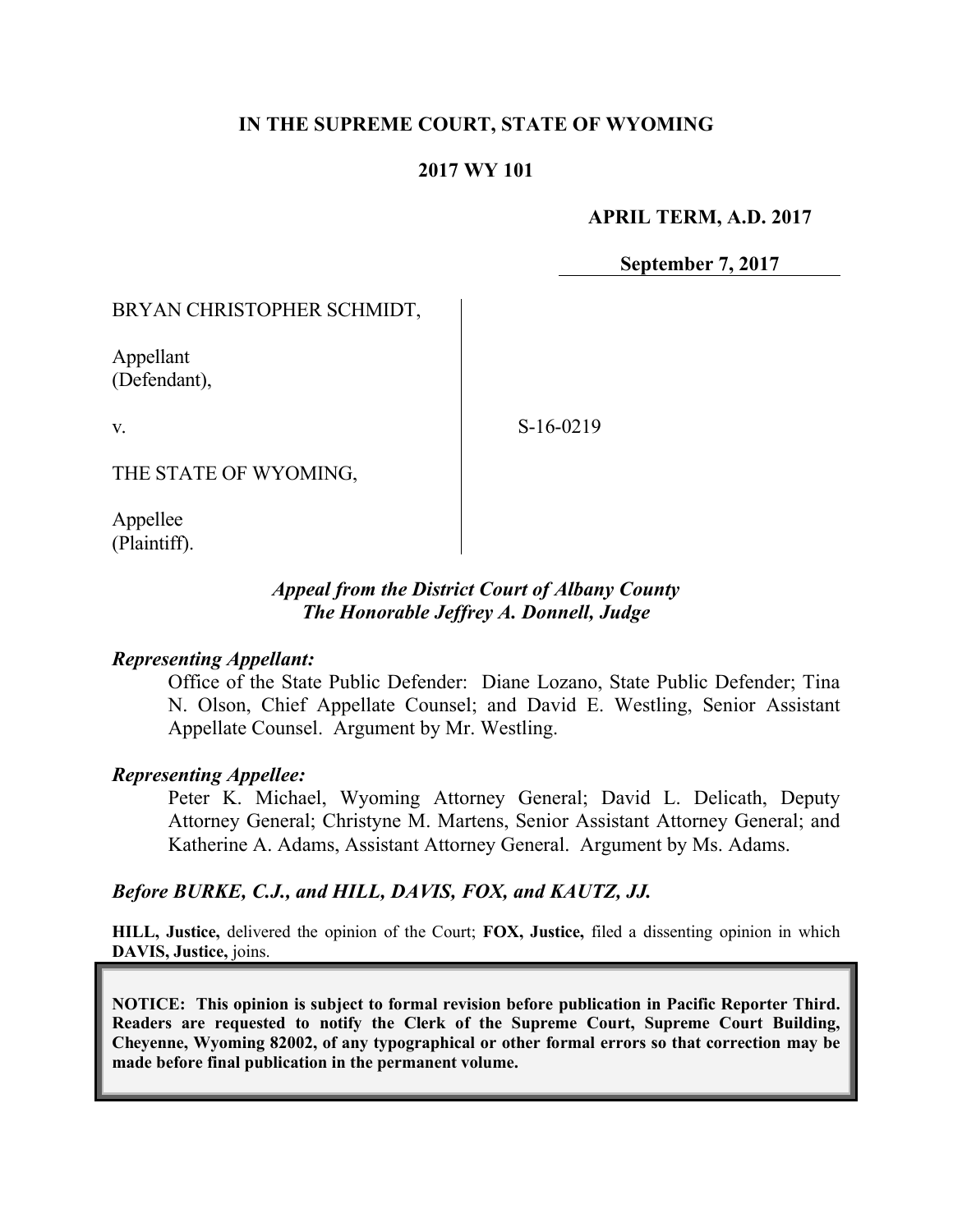#### **IN THE SUPREME COURT, STATE OF WYOMING**

#### **2017 WY 101**

#### **APRIL TERM, A.D. 2017**

**September 7, 2017**

#### BRYAN CHRISTOPHER SCHMIDT,

Appellant (Defendant),

v.

S-16-0219

THE STATE OF WYOMING,

Appellee (Plaintiff).

#### *Appeal from the District Court of Albany County The Honorable Jeffrey A. Donnell, Judge*

#### *Representing Appellant:*

Office of the State Public Defender: Diane Lozano, State Public Defender; Tina N. Olson, Chief Appellate Counsel; and David E. Westling, Senior Assistant Appellate Counsel. Argument by Mr. Westling.

#### *Representing Appellee:*

Peter K. Michael, Wyoming Attorney General; David L. Delicath, Deputy Attorney General; Christyne M. Martens, Senior Assistant Attorney General; and Katherine A. Adams, Assistant Attorney General. Argument by Ms. Adams.

#### *Before BURKE, C.J., and HILL, DAVIS, FOX, and KAUTZ, JJ.*

**HILL, Justice,** delivered the opinion of the Court; **FOX, Justice,** filed a dissenting opinion in which **DAVIS, Justice,** joins.

**NOTICE: This opinion is subject to formal revision before publication in Pacific Reporter Third. Readers are requested to notify the Clerk of the Supreme Court, Supreme Court Building, Cheyenne, Wyoming 82002, of any typographical or other formal errors so that correction may be made before final publication in the permanent volume.**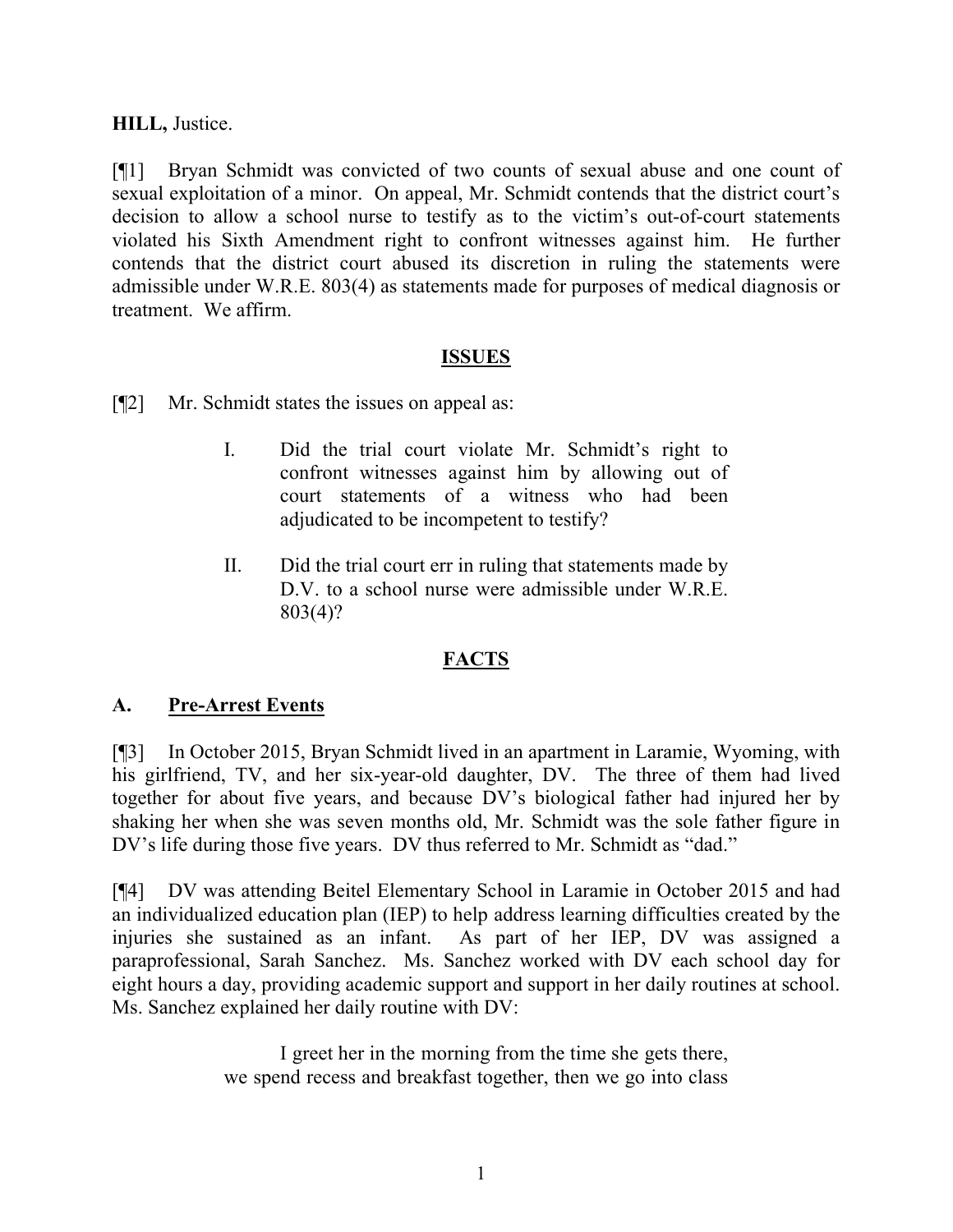## **HILL,** Justice.

[¶1] Bryan Schmidt was convicted of two counts of sexual abuse and one count of sexual exploitation of a minor. On appeal, Mr. Schmidt contends that the district court's decision to allow a school nurse to testify as to the victim's out-of-court statements violated his Sixth Amendment right to confront witnesses against him. He further contends that the district court abused its discretion in ruling the statements were admissible under W.R.E. 803(4) as statements made for purposes of medical diagnosis or treatment. We affirm.

## **ISSUES**

[¶2] Mr. Schmidt states the issues on appeal as:

- I. Did the trial court violate Mr. Schmidt's right to confront witnesses against him by allowing out of court statements of a witness who had been adjudicated to be incompetent to testify?
- II. Did the trial court err in ruling that statements made by D.V. to a school nurse were admissible under W.R.E. 803(4)?

## **FACTS**

## **A. Pre-Arrest Events**

[¶3] In October 2015, Bryan Schmidt lived in an apartment in Laramie, Wyoming, with his girlfriend, TV, and her six-year-old daughter, DV. The three of them had lived together for about five years, and because DV's biological father had injured her by shaking her when she was seven months old, Mr. Schmidt was the sole father figure in DV's life during those five years. DV thus referred to Mr. Schmidt as "dad."

[¶4] DV was attending Beitel Elementary School in Laramie in October 2015 and had an individualized education plan (IEP) to help address learning difficulties created by the injuries she sustained as an infant. As part of her IEP, DV was assigned a paraprofessional, Sarah Sanchez. Ms. Sanchez worked with DV each school day for eight hours a day, providing academic support and support in her daily routines at school. Ms. Sanchez explained her daily routine with DV:

> I greet her in the morning from the time she gets there, we spend recess and breakfast together, then we go into class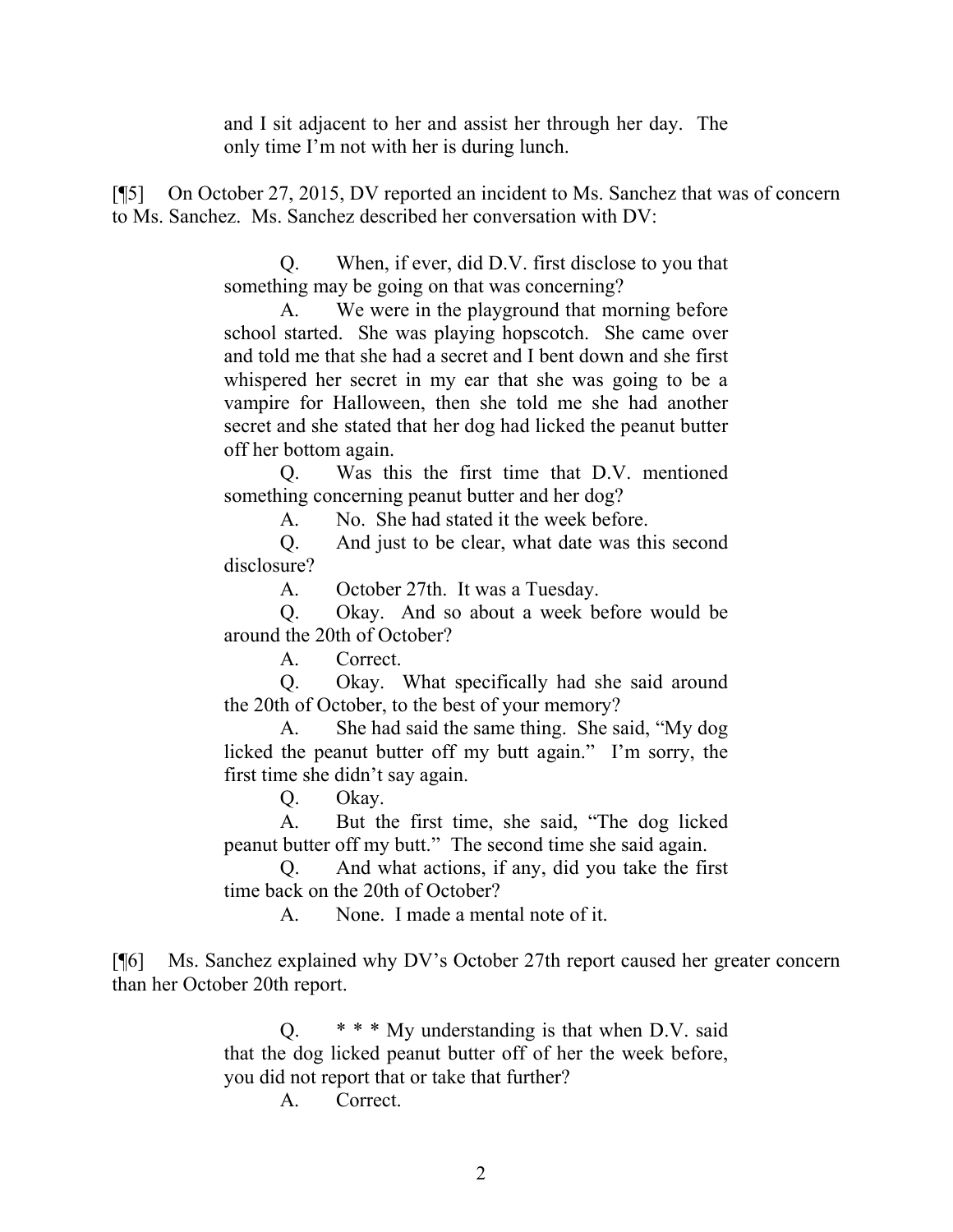and I sit adjacent to her and assist her through her day. The only time I'm not with her is during lunch.

[¶5] On October 27, 2015, DV reported an incident to Ms. Sanchez that was of concern to Ms. Sanchez. Ms. Sanchez described her conversation with DV:

> Q. When, if ever, did D.V. first disclose to you that something may be going on that was concerning?

A. We were in the playground that morning before school started. She was playing hopscotch. She came over and told me that she had a secret and I bent down and she first whispered her secret in my ear that she was going to be a vampire for Halloween, then she told me she had another secret and she stated that her dog had licked the peanut butter off her bottom again.

Q. Was this the first time that D.V. mentioned something concerning peanut butter and her dog?

A. No. She had stated it the week before.

Q. And just to be clear, what date was this second disclosure?

A. October 27th. It was a Tuesday.

Q. Okay. And so about a week before would be around the 20th of October?

A. Correct.

Q. Okay. What specifically had she said around the 20th of October, to the best of your memory?

A. She had said the same thing. She said, "My dog licked the peanut butter off my butt again." I'm sorry, the first time she didn't say again.

Q. Okay.

A. But the first time, she said, "The dog licked peanut butter off my butt." The second time she said again.

Q. And what actions, if any, did you take the first time back on the 20th of October?

A. None. I made a mental note of it.

[¶6] Ms. Sanchez explained why DV's October 27th report caused her greater concern than her October 20th report.

> $Q.$  \* \* \* My understanding is that when D.V. said that the dog licked peanut butter off of her the week before, you did not report that or take that further?

> > A. Correct.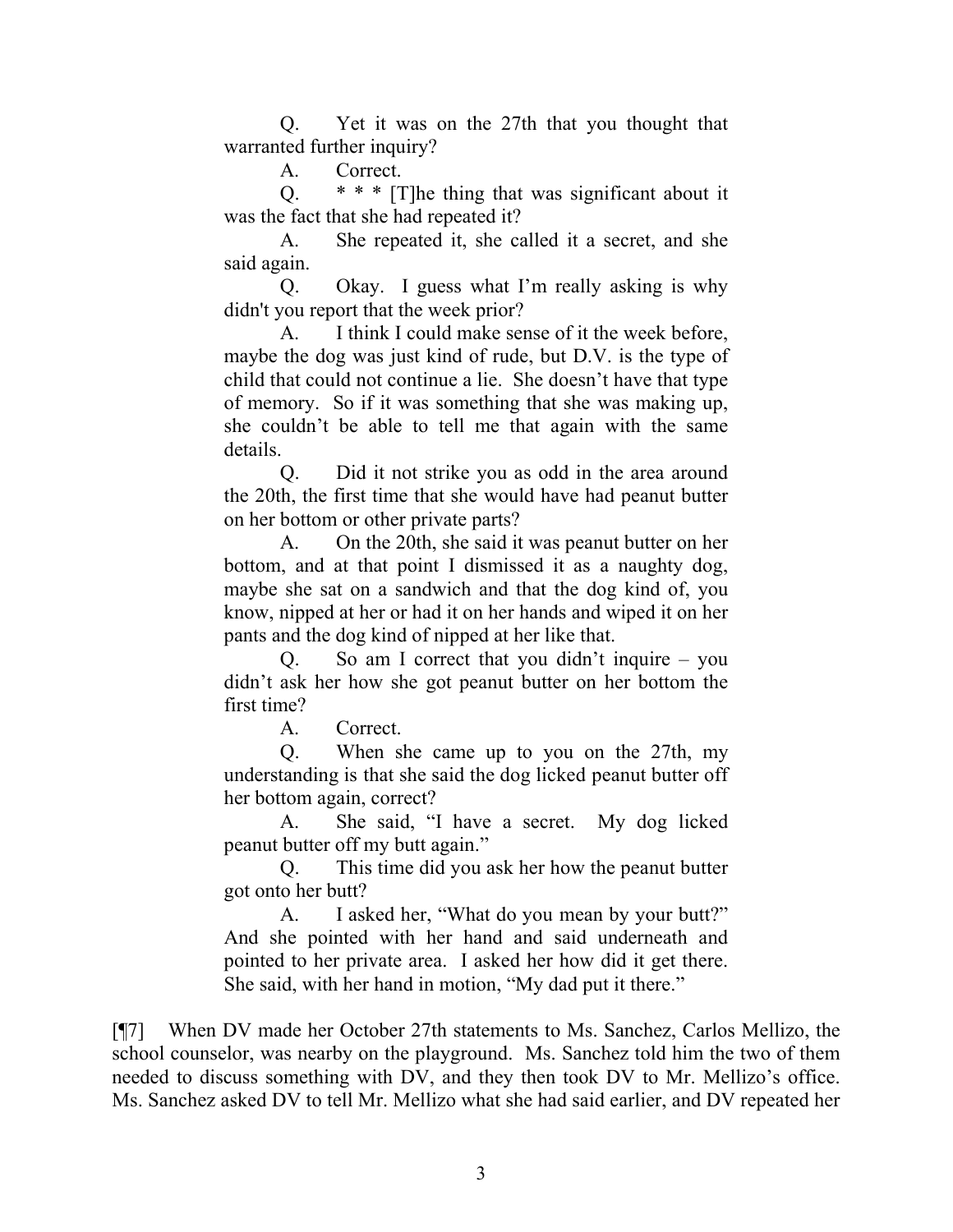Q. Yet it was on the 27th that you thought that warranted further inquiry?

A. Correct.

Q. \* \* \* [T]he thing that was significant about it was the fact that she had repeated it?

A. She repeated it, she called it a secret, and she said again.

Q. Okay. I guess what I'm really asking is why didn't you report that the week prior?

A. I think I could make sense of it the week before, maybe the dog was just kind of rude, but D.V. is the type of child that could not continue a lie. She doesn't have that type of memory. So if it was something that she was making up, she couldn't be able to tell me that again with the same details.

Q. Did it not strike you as odd in the area around the 20th, the first time that she would have had peanut butter on her bottom or other private parts?

A. On the 20th, she said it was peanut butter on her bottom, and at that point I dismissed it as a naughty dog, maybe she sat on a sandwich and that the dog kind of, you know, nipped at her or had it on her hands and wiped it on her pants and the dog kind of nipped at her like that.

Q. So am I correct that you didn't inquire – you didn't ask her how she got peanut butter on her bottom the first time?

A. Correct.

Q. When she came up to you on the 27th, my understanding is that she said the dog licked peanut butter off her bottom again, correct?

A. She said, "I have a secret. My dog licked peanut butter off my butt again."

Q. This time did you ask her how the peanut butter got onto her butt?

A. I asked her, "What do you mean by your butt?" And she pointed with her hand and said underneath and pointed to her private area. I asked her how did it get there. She said, with her hand in motion, "My dad put it there."

[¶7] When DV made her October 27th statements to Ms. Sanchez, Carlos Mellizo, the school counselor, was nearby on the playground. Ms. Sanchez told him the two of them needed to discuss something with DV, and they then took DV to Mr. Mellizo's office. Ms. Sanchez asked DV to tell Mr. Mellizo what she had said earlier, and DV repeated her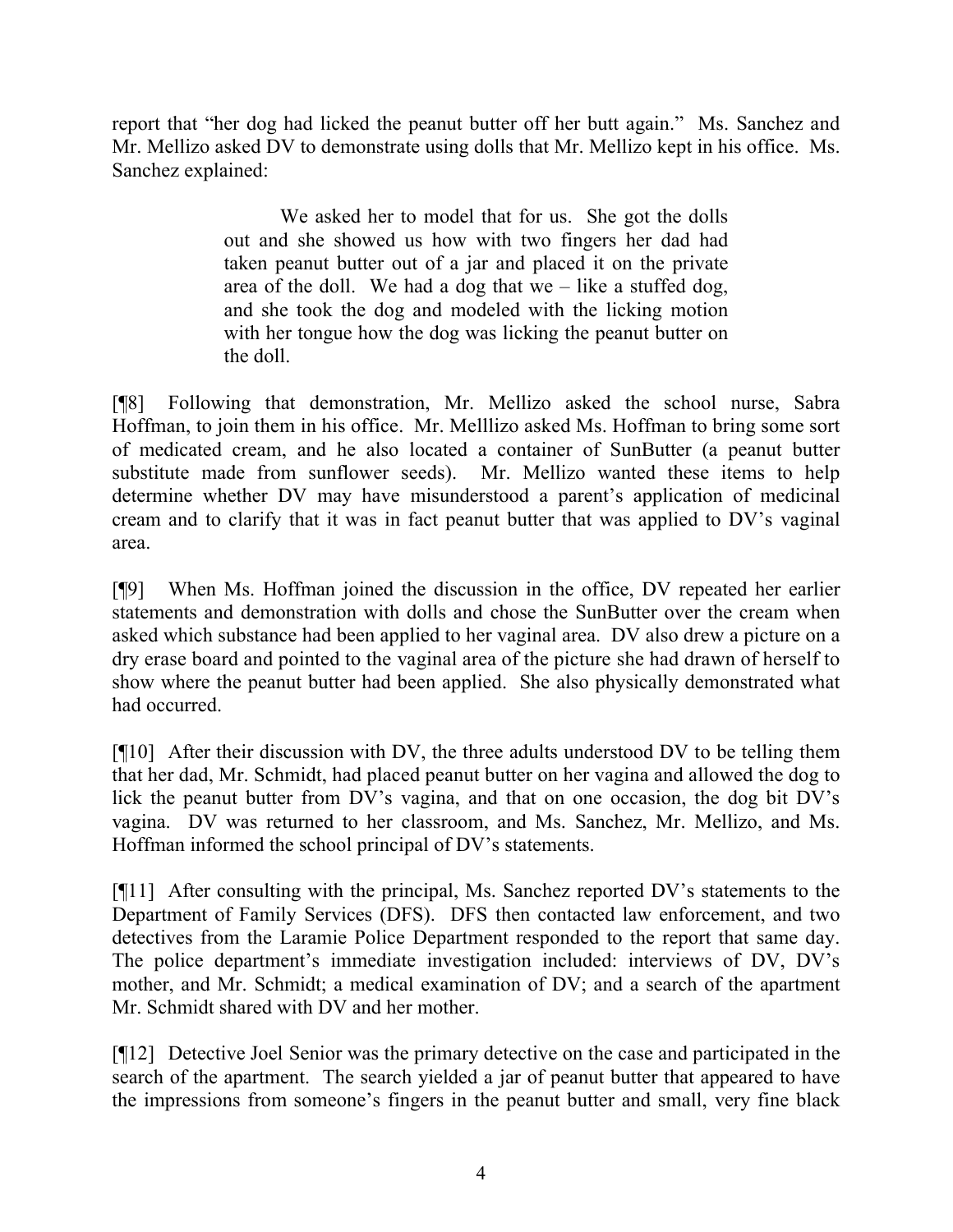report that "her dog had licked the peanut butter off her butt again." Ms. Sanchez and Mr. Mellizo asked DV to demonstrate using dolls that Mr. Mellizo kept in his office. Ms. Sanchez explained:

> We asked her to model that for us. She got the dolls out and she showed us how with two fingers her dad had taken peanut butter out of a jar and placed it on the private area of the doll. We had a dog that we  $-$  like a stuffed dog, and she took the dog and modeled with the licking motion with her tongue how the dog was licking the peanut butter on the doll.

[¶8] Following that demonstration, Mr. Mellizo asked the school nurse, Sabra Hoffman, to join them in his office. Mr. Melllizo asked Ms. Hoffman to bring some sort of medicated cream, and he also located a container of SunButter (a peanut butter substitute made from sunflower seeds). Mr. Mellizo wanted these items to help determine whether DV may have misunderstood a parent's application of medicinal cream and to clarify that it was in fact peanut butter that was applied to DV's vaginal area.

[¶9] When Ms. Hoffman joined the discussion in the office, DV repeated her earlier statements and demonstration with dolls and chose the SunButter over the cream when asked which substance had been applied to her vaginal area. DV also drew a picture on a dry erase board and pointed to the vaginal area of the picture she had drawn of herself to show where the peanut butter had been applied. She also physically demonstrated what had occurred.

[¶10] After their discussion with DV, the three adults understood DV to be telling them that her dad, Mr. Schmidt, had placed peanut butter on her vagina and allowed the dog to lick the peanut butter from DV's vagina, and that on one occasion, the dog bit DV's vagina. DV was returned to her classroom, and Ms. Sanchez, Mr. Mellizo, and Ms. Hoffman informed the school principal of DV's statements.

[¶11] After consulting with the principal, Ms. Sanchez reported DV's statements to the Department of Family Services (DFS). DFS then contacted law enforcement, and two detectives from the Laramie Police Department responded to the report that same day. The police department's immediate investigation included: interviews of DV, DV's mother, and Mr. Schmidt; a medical examination of DV; and a search of the apartment Mr. Schmidt shared with DV and her mother.

[¶12] Detective Joel Senior was the primary detective on the case and participated in the search of the apartment. The search yielded a jar of peanut butter that appeared to have the impressions from someone's fingers in the peanut butter and small, very fine black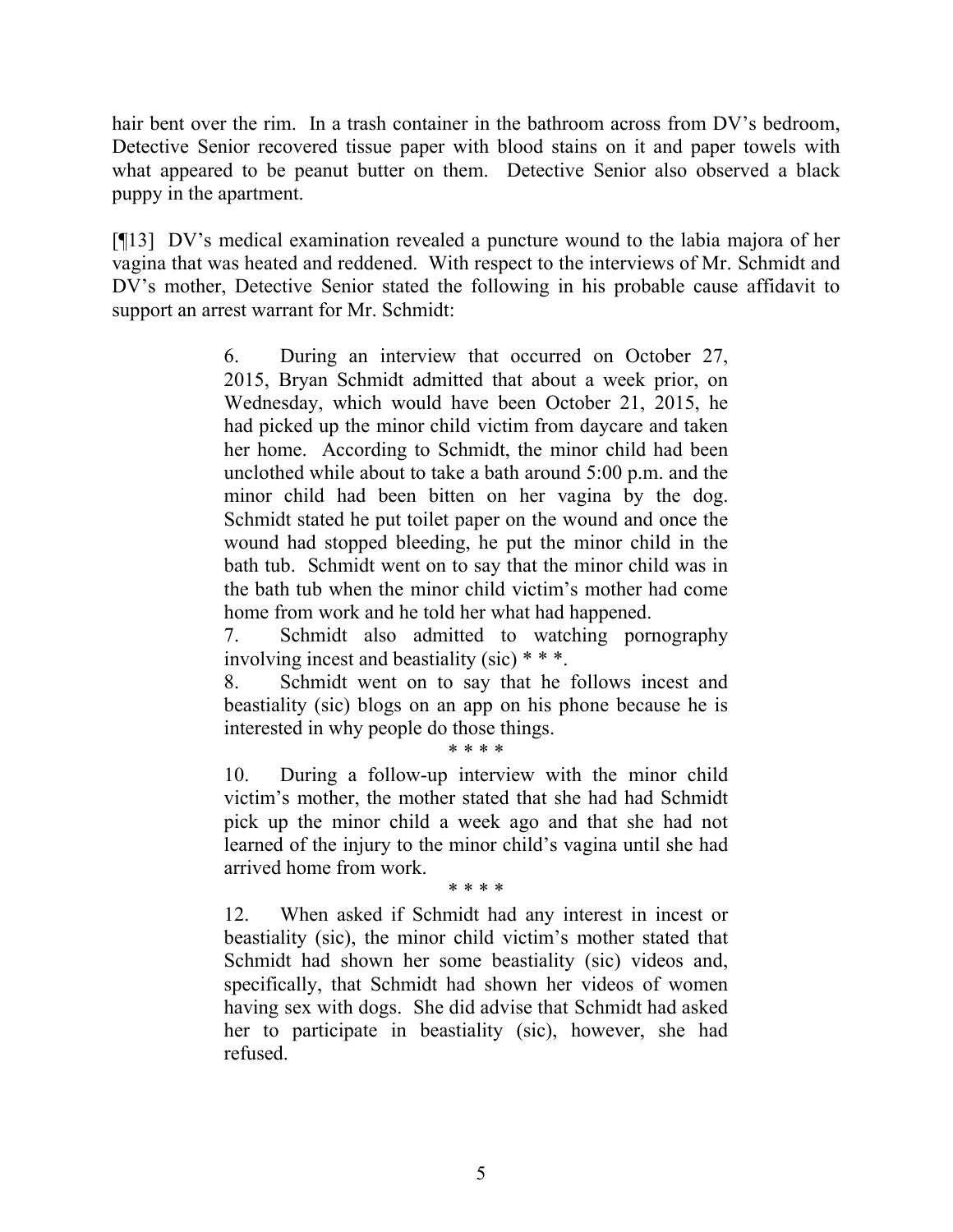hair bent over the rim. In a trash container in the bathroom across from DV's bedroom, Detective Senior recovered tissue paper with blood stains on it and paper towels with what appeared to be peanut butter on them. Detective Senior also observed a black puppy in the apartment.

[¶13] DV's medical examination revealed a puncture wound to the labia majora of her vagina that was heated and reddened. With respect to the interviews of Mr. Schmidt and DV's mother, Detective Senior stated the following in his probable cause affidavit to support an arrest warrant for Mr. Schmidt:

> 6. During an interview that occurred on October 27, 2015, Bryan Schmidt admitted that about a week prior, on Wednesday, which would have been October 21, 2015, he had picked up the minor child victim from daycare and taken her home. According to Schmidt, the minor child had been unclothed while about to take a bath around 5:00 p.m. and the minor child had been bitten on her vagina by the dog. Schmidt stated he put toilet paper on the wound and once the wound had stopped bleeding, he put the minor child in the bath tub. Schmidt went on to say that the minor child was in the bath tub when the minor child victim's mother had come home from work and he told her what had happened.

> 7. Schmidt also admitted to watching pornography involving incest and beastiality (sic) \* \* \*.

> 8. Schmidt went on to say that he follows incest and beastiality (sic) blogs on an app on his phone because he is interested in why people do those things. \* \* \* \*

> 10. During a follow-up interview with the minor child victim's mother, the mother stated that she had had Schmidt pick up the minor child a week ago and that she had not learned of the injury to the minor child's vagina until she had arrived home from work.

\* \* \* \*

12. When asked if Schmidt had any interest in incest or beastiality (sic), the minor child victim's mother stated that Schmidt had shown her some beastiality (sic) videos and, specifically, that Schmidt had shown her videos of women having sex with dogs. She did advise that Schmidt had asked her to participate in beastiality (sic), however, she had refused.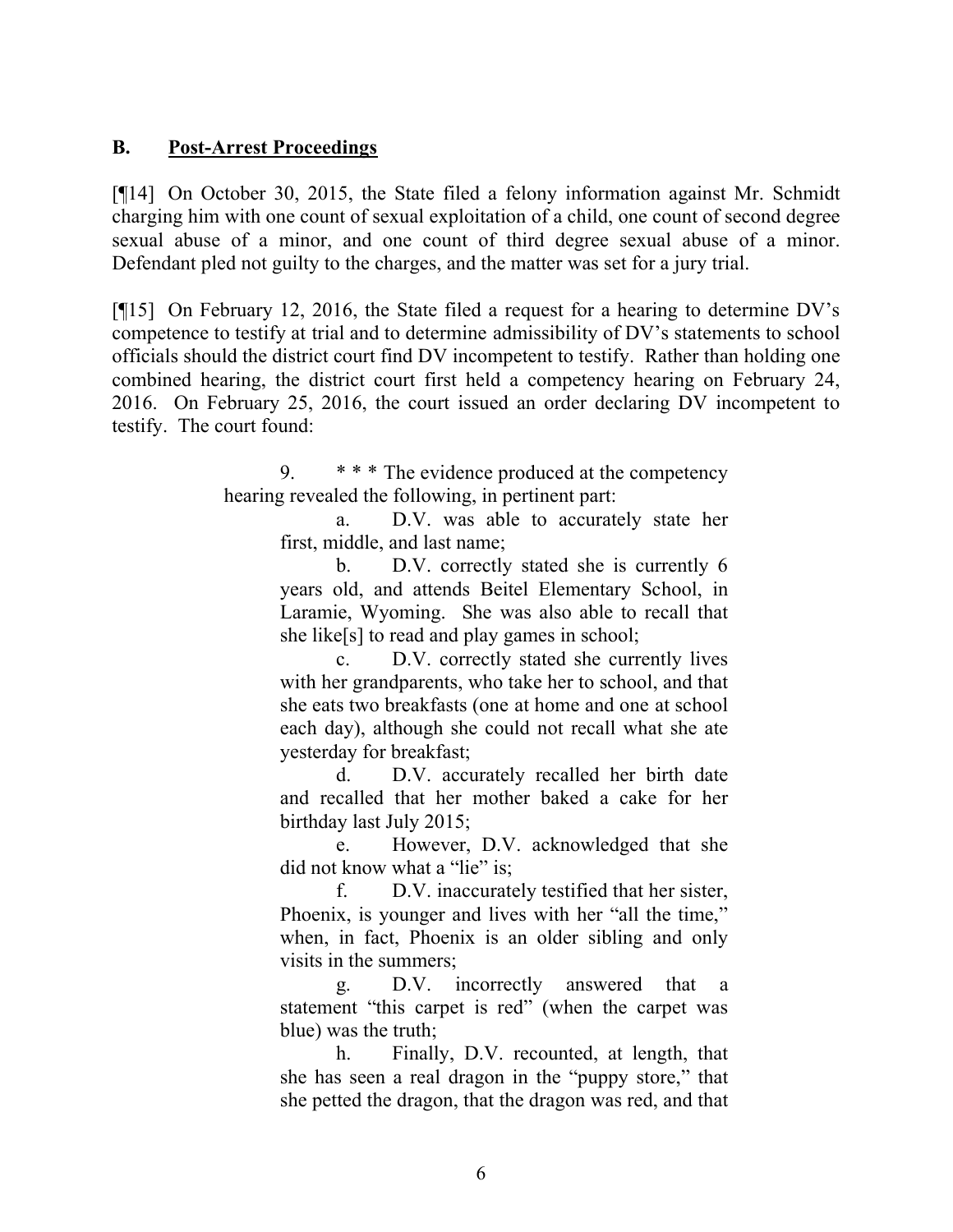#### **B. Post-Arrest Proceedings**

[¶14] On October 30, 2015, the State filed a felony information against Mr. Schmidt charging him with one count of sexual exploitation of a child, one count of second degree sexual abuse of a minor, and one count of third degree sexual abuse of a minor. Defendant pled not guilty to the charges, and the matter was set for a jury trial.

[¶15] On February 12, 2016, the State filed a request for a hearing to determine DV's competence to testify at trial and to determine admissibility of DV's statements to school officials should the district court find DV incompetent to testify. Rather than holding one combined hearing, the district court first held a competency hearing on February 24, 2016. On February 25, 2016, the court issued an order declaring DV incompetent to testify. The court found:

> 9. \* \* \* The evidence produced at the competency hearing revealed the following, in pertinent part:

> > a. D.V. was able to accurately state her first, middle, and last name;

> > b. D.V. correctly stated she is currently 6 years old, and attends Beitel Elementary School, in Laramie, Wyoming. She was also able to recall that she like[s] to read and play games in school;

> > c. D.V. correctly stated she currently lives with her grandparents, who take her to school, and that she eats two breakfasts (one at home and one at school each day), although she could not recall what she ate yesterday for breakfast;

> > d. D.V. accurately recalled her birth date and recalled that her mother baked a cake for her birthday last July 2015;

> > e. However, D.V. acknowledged that she did not know what a "lie" is;

> > f. D.V. inaccurately testified that her sister, Phoenix, is younger and lives with her "all the time," when, in fact, Phoenix is an older sibling and only visits in the summers;

> > D.V. incorrectly answered that a statement "this carpet is red" (when the carpet was blue) was the truth;

> > h. Finally, D.V. recounted, at length, that she has seen a real dragon in the "puppy store," that she petted the dragon, that the dragon was red, and that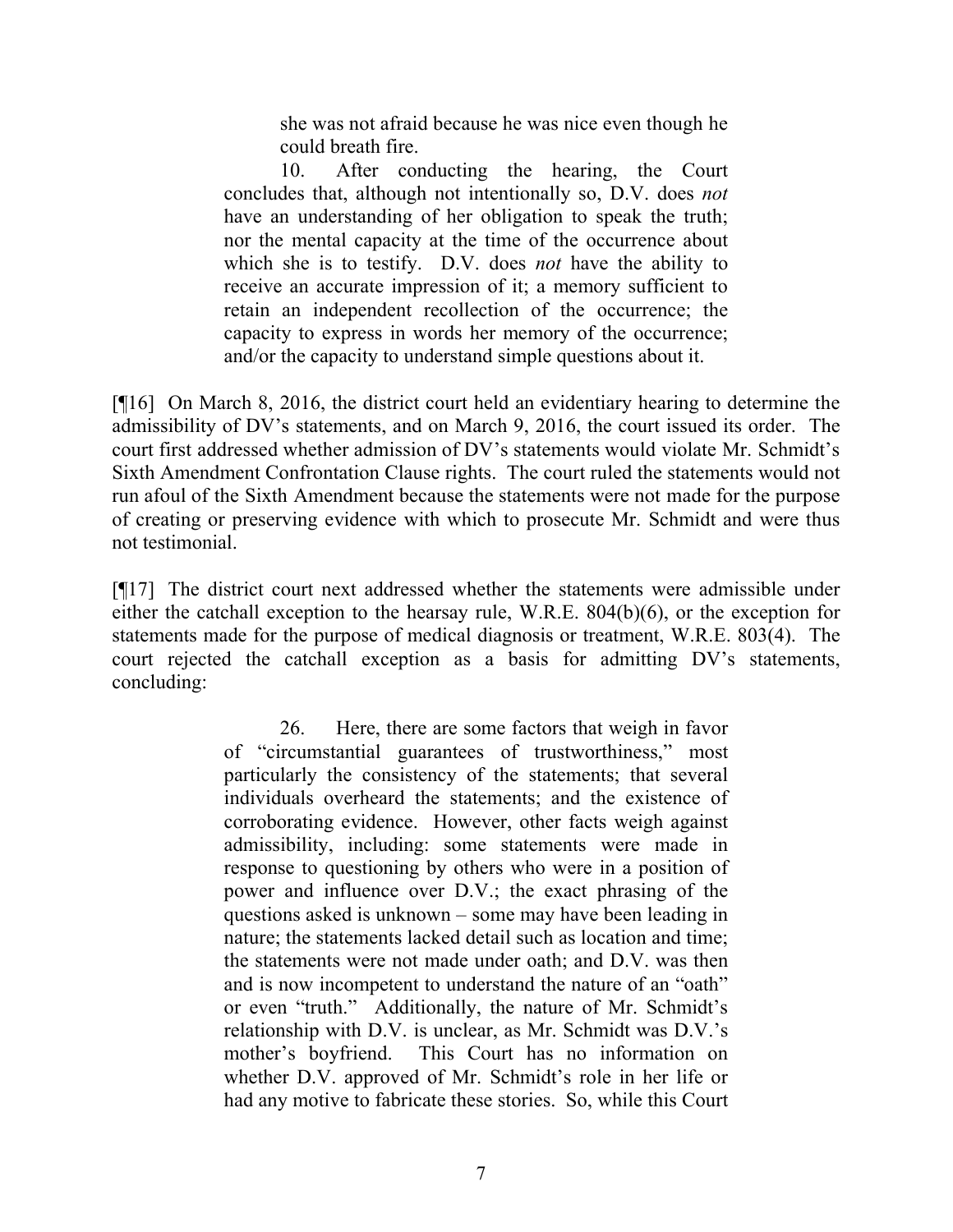she was not afraid because he was nice even though he could breath fire.

10. After conducting the hearing, the Court concludes that, although not intentionally so, D.V. does *not* have an understanding of her obligation to speak the truth; nor the mental capacity at the time of the occurrence about which she is to testify. D.V. does *not* have the ability to receive an accurate impression of it; a memory sufficient to retain an independent recollection of the occurrence; the capacity to express in words her memory of the occurrence; and/or the capacity to understand simple questions about it.

[¶16] On March 8, 2016, the district court held an evidentiary hearing to determine the admissibility of DV's statements, and on March 9, 2016, the court issued its order. The court first addressed whether admission of DV's statements would violate Mr. Schmidt's Sixth Amendment Confrontation Clause rights. The court ruled the statements would not run afoul of the Sixth Amendment because the statements were not made for the purpose of creating or preserving evidence with which to prosecute Mr. Schmidt and were thus not testimonial.

[¶17] The district court next addressed whether the statements were admissible under either the catchall exception to the hearsay rule, W.R.E. 804(b)(6), or the exception for statements made for the purpose of medical diagnosis or treatment, W.R.E. 803(4). The court rejected the catchall exception as a basis for admitting DV's statements, concluding:

> 26. Here, there are some factors that weigh in favor of "circumstantial guarantees of trustworthiness," most particularly the consistency of the statements; that several individuals overheard the statements; and the existence of corroborating evidence. However, other facts weigh against admissibility, including: some statements were made in response to questioning by others who were in a position of power and influence over D.V.; the exact phrasing of the questions asked is unknown – some may have been leading in nature; the statements lacked detail such as location and time; the statements were not made under oath; and D.V. was then and is now incompetent to understand the nature of an "oath" or even "truth." Additionally, the nature of Mr. Schmidt's relationship with D.V. is unclear, as Mr. Schmidt was D.V.'s mother's boyfriend. This Court has no information on whether D.V. approved of Mr. Schmidt's role in her life or had any motive to fabricate these stories. So, while this Court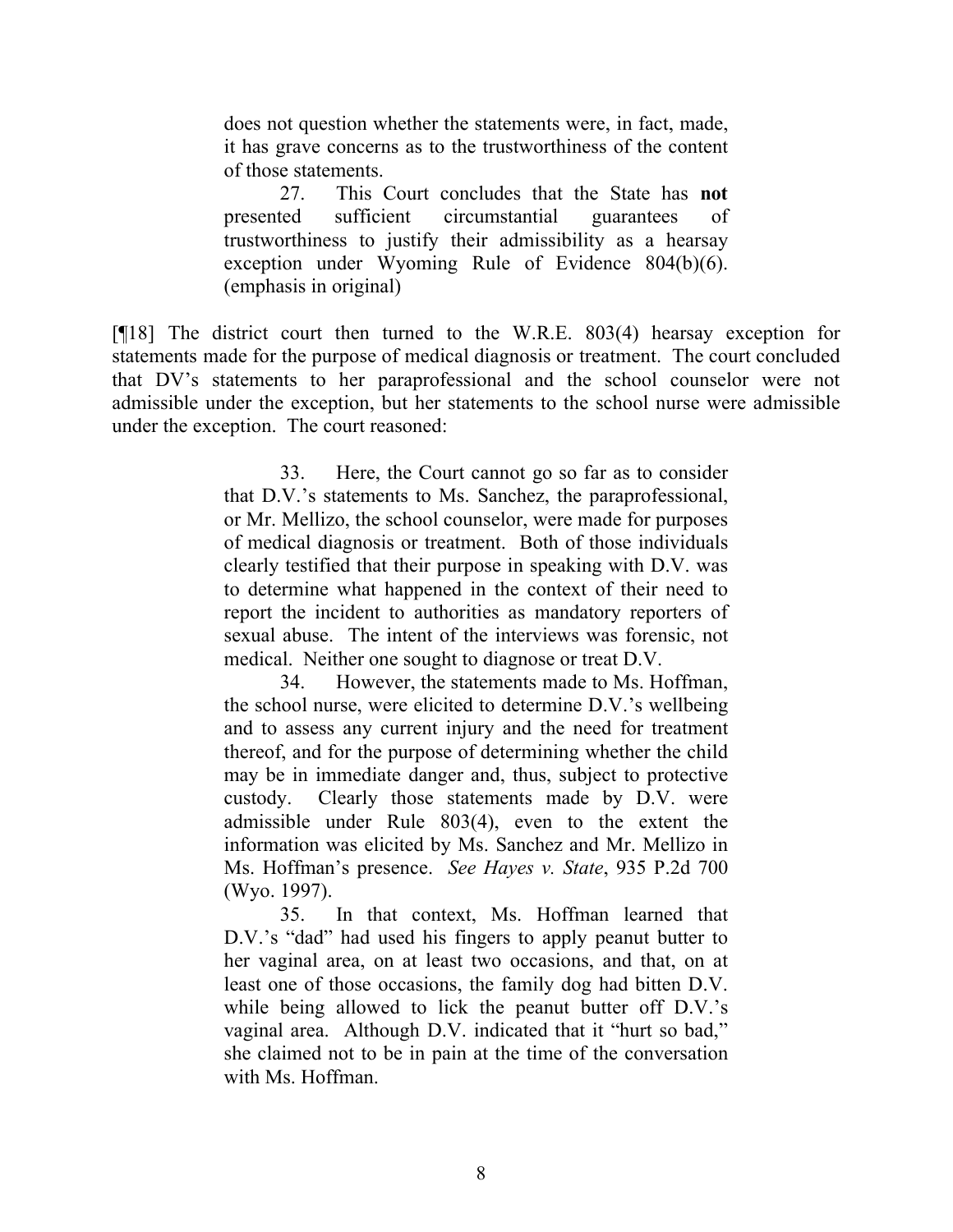does not question whether the statements were, in fact, made, it has grave concerns as to the trustworthiness of the content of those statements.

27. This Court concludes that the State has **not** presented sufficient circumstantial guarantees of trustworthiness to justify their admissibility as a hearsay exception under Wyoming Rule of Evidence 804(b)(6). (emphasis in original)

[¶18] The district court then turned to the W.R.E. 803(4) hearsay exception for statements made for the purpose of medical diagnosis or treatment. The court concluded that DV's statements to her paraprofessional and the school counselor were not admissible under the exception, but her statements to the school nurse were admissible under the exception. The court reasoned:

> 33. Here, the Court cannot go so far as to consider that D.V.'s statements to Ms. Sanchez, the paraprofessional, or Mr. Mellizo, the school counselor, were made for purposes of medical diagnosis or treatment. Both of those individuals clearly testified that their purpose in speaking with D.V. was to determine what happened in the context of their need to report the incident to authorities as mandatory reporters of sexual abuse. The intent of the interviews was forensic, not medical. Neither one sought to diagnose or treat D.V.

> 34. However, the statements made to Ms. Hoffman, the school nurse, were elicited to determine D.V.'s wellbeing and to assess any current injury and the need for treatment thereof, and for the purpose of determining whether the child may be in immediate danger and, thus, subject to protective custody. Clearly those statements made by D.V. were admissible under Rule 803(4), even to the extent the information was elicited by Ms. Sanchez and Mr. Mellizo in Ms. Hoffman's presence. *See Hayes v. State*, 935 P.2d 700 (Wyo. 1997).

> 35. In that context, Ms. Hoffman learned that D.V.'s "dad" had used his fingers to apply peanut butter to her vaginal area, on at least two occasions, and that, on at least one of those occasions, the family dog had bitten D.V. while being allowed to lick the peanut butter off D.V.'s vaginal area. Although D.V. indicated that it "hurt so bad," she claimed not to be in pain at the time of the conversation with Ms. Hoffman.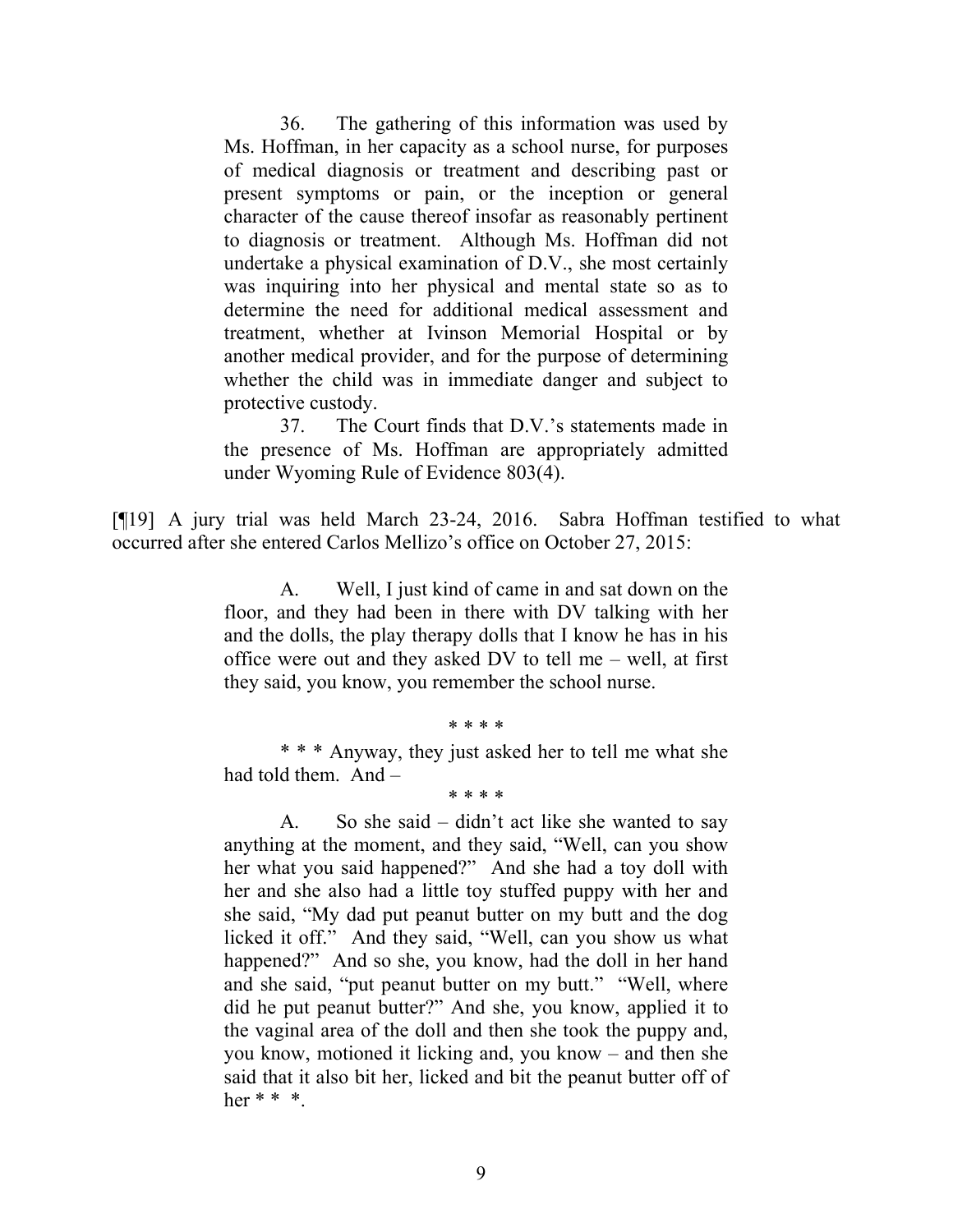36. The gathering of this information was used by Ms. Hoffman, in her capacity as a school nurse, for purposes of medical diagnosis or treatment and describing past or present symptoms or pain, or the inception or general character of the cause thereof insofar as reasonably pertinent to diagnosis or treatment. Although Ms. Hoffman did not undertake a physical examination of D.V., she most certainly was inquiring into her physical and mental state so as to determine the need for additional medical assessment and treatment, whether at Ivinson Memorial Hospital or by another medical provider, and for the purpose of determining whether the child was in immediate danger and subject to protective custody.

37. The Court finds that D.V.'s statements made in the presence of Ms. Hoffman are appropriately admitted under Wyoming Rule of Evidence 803(4).

[¶19] A jury trial was held March 23-24, 2016. Sabra Hoffman testified to what occurred after she entered Carlos Mellizo's office on October 27, 2015:

> A. Well, I just kind of came in and sat down on the floor, and they had been in there with DV talking with her and the dolls, the play therapy dolls that I know he has in his office were out and they asked DV to tell me – well, at first they said, you know, you remember the school nurse.

> > \* \* \* \*

\* \* \* Anyway, they just asked her to tell me what she had told them. And – \* \* \* \*

A. So she said – didn't act like she wanted to say anything at the moment, and they said, "Well, can you show her what you said happened?" And she had a toy doll with her and she also had a little toy stuffed puppy with her and she said, "My dad put peanut butter on my butt and the dog licked it off." And they said, "Well, can you show us what happened?" And so she, you know, had the doll in her hand and she said, "put peanut butter on my butt." "Well, where did he put peanut butter?" And she, you know, applied it to the vaginal area of the doll and then she took the puppy and, you know, motioned it licking and, you know – and then she said that it also bit her, licked and bit the peanut butter off of her \* \* \*.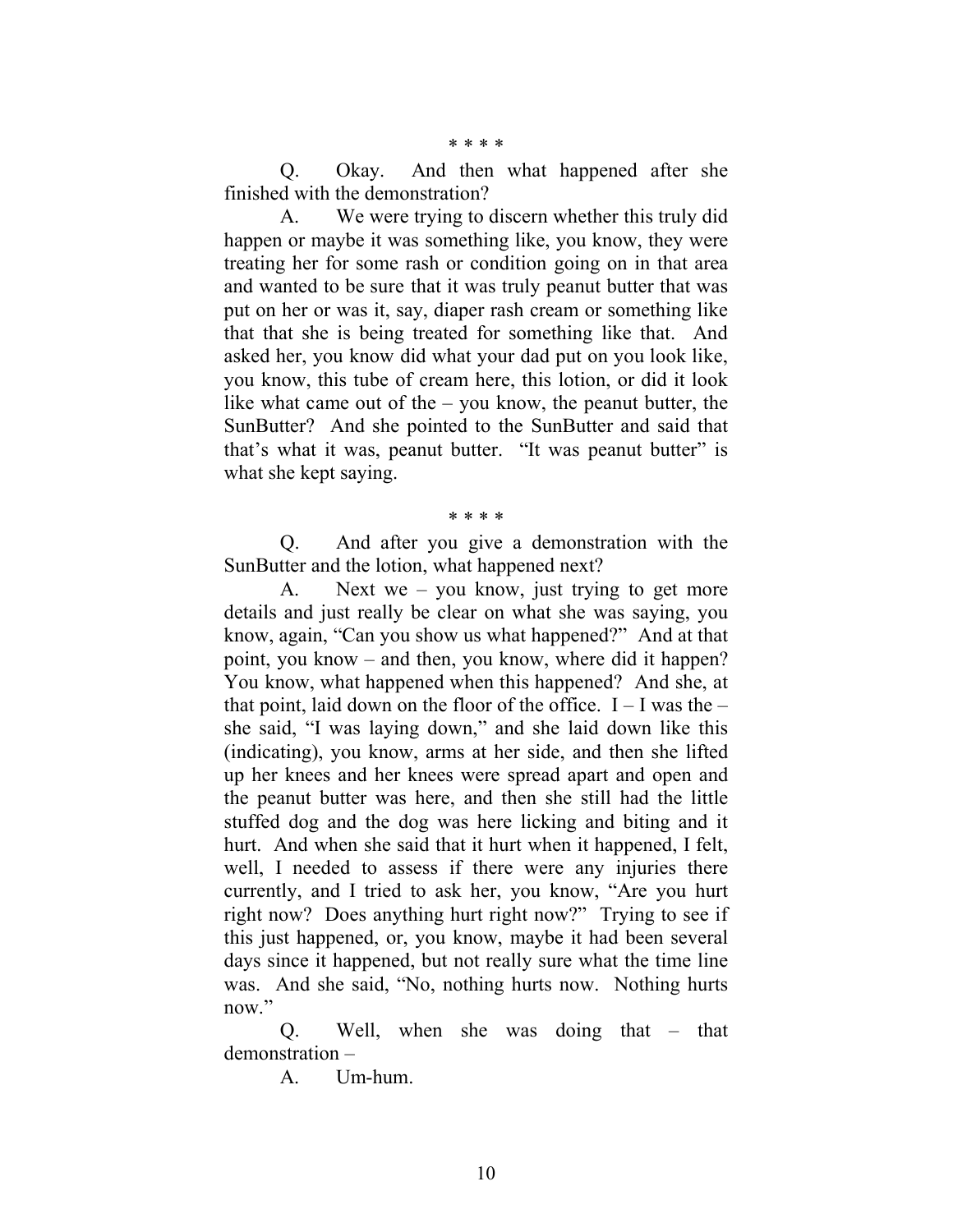Q. Okay. And then what happened after she finished with the demonstration?

A. We were trying to discern whether this truly did happen or maybe it was something like, you know, they were treating her for some rash or condition going on in that area and wanted to be sure that it was truly peanut butter that was put on her or was it, say, diaper rash cream or something like that that she is being treated for something like that. And asked her, you know did what your dad put on you look like, you know, this tube of cream here, this lotion, or did it look like what came out of the – you know, the peanut butter, the SunButter? And she pointed to the SunButter and said that that's what it was, peanut butter. "It was peanut butter" is what she kept saying.

\* \* \* \*

Q. And after you give a demonstration with the SunButter and the lotion, what happened next?

A. Next we – you know, just trying to get more details and just really be clear on what she was saying, you know, again, "Can you show us what happened?" And at that point, you know – and then, you know, where did it happen? You know, what happened when this happened? And she, at that point, laid down on the floor of the office.  $I - I$  was the – she said, "I was laying down," and she laid down like this (indicating), you know, arms at her side, and then she lifted up her knees and her knees were spread apart and open and the peanut butter was here, and then she still had the little stuffed dog and the dog was here licking and biting and it hurt. And when she said that it hurt when it happened, I felt, well, I needed to assess if there were any injuries there currently, and I tried to ask her, you know, "Are you hurt right now? Does anything hurt right now?" Trying to see if this just happened, or, you know, maybe it had been several days since it happened, but not really sure what the time line was. And she said, "No, nothing hurts now. Nothing hurts now."

Q. Well, when she was doing that – that demonstration –

A. Um-hum.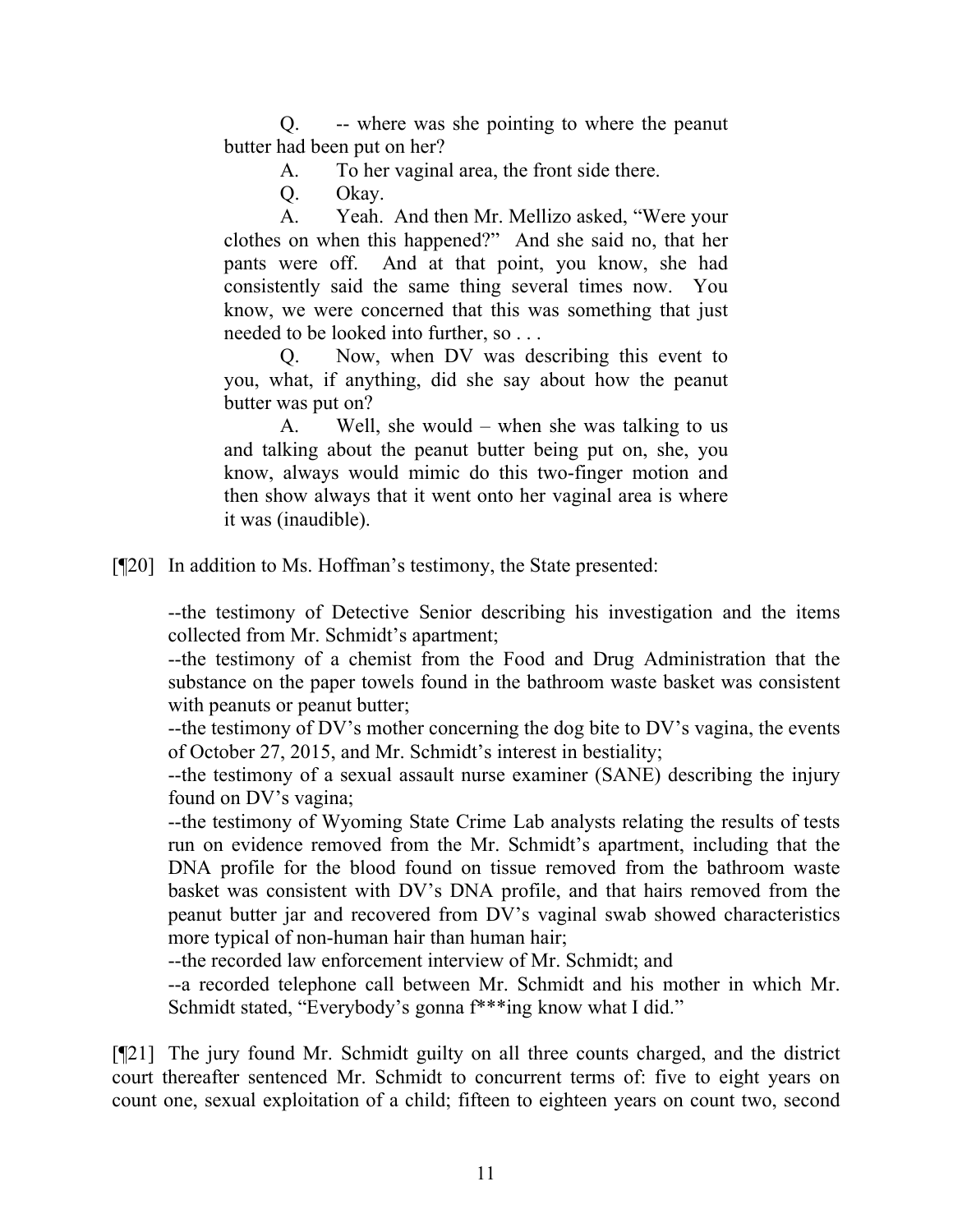Q. -- where was she pointing to where the peanut butter had been put on her?

A. To her vaginal area, the front side there.

Q. Okay.

A. Yeah. And then Mr. Mellizo asked, "Were your clothes on when this happened?" And she said no, that her pants were off. And at that point, you know, she had consistently said the same thing several times now. You know, we were concerned that this was something that just needed to be looked into further, so . . .

Q. Now, when DV was describing this event to you, what, if anything, did she say about how the peanut butter was put on?

A. Well, she would – when she was talking to us and talking about the peanut butter being put on, she, you know, always would mimic do this two-finger motion and then show always that it went onto her vaginal area is where it was (inaudible).

[¶20] In addition to Ms. Hoffman's testimony, the State presented:

--the testimony of Detective Senior describing his investigation and the items collected from Mr. Schmidt's apartment;

--the testimony of a chemist from the Food and Drug Administration that the substance on the paper towels found in the bathroom waste basket was consistent with peanuts or peanut butter;

--the testimony of DV's mother concerning the dog bite to DV's vagina, the events of October 27, 2015, and Mr. Schmidt's interest in bestiality;

--the testimony of a sexual assault nurse examiner (SANE) describing the injury found on DV's vagina;

--the testimony of Wyoming State Crime Lab analysts relating the results of tests run on evidence removed from the Mr. Schmidt's apartment, including that the DNA profile for the blood found on tissue removed from the bathroom waste basket was consistent with DV's DNA profile, and that hairs removed from the peanut butter jar and recovered from DV's vaginal swab showed characteristics more typical of non-human hair than human hair;

--the recorded law enforcement interview of Mr. Schmidt; and

--a recorded telephone call between Mr. Schmidt and his mother in which Mr. Schmidt stated, "Everybody's gonna f\*\*\*ing know what I did."

[¶21] The jury found Mr. Schmidt guilty on all three counts charged, and the district court thereafter sentenced Mr. Schmidt to concurrent terms of: five to eight years on count one, sexual exploitation of a child; fifteen to eighteen years on count two, second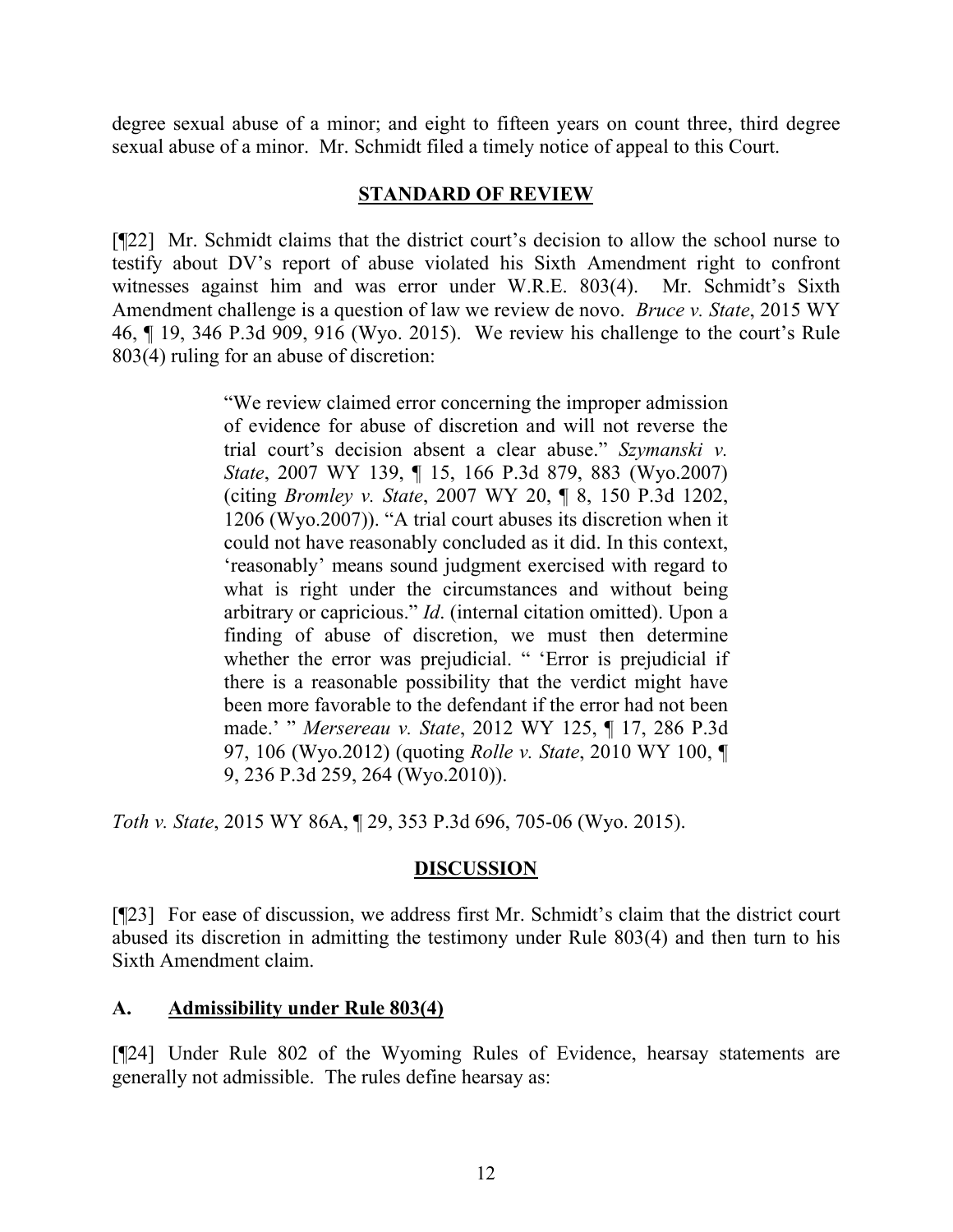degree sexual abuse of a minor; and eight to fifteen years on count three, third degree sexual abuse of a minor. Mr. Schmidt filed a timely notice of appeal to this Court.

#### **STANDARD OF REVIEW**

[¶22] Mr. Schmidt claims that the district court's decision to allow the school nurse to testify about DV's report of abuse violated his Sixth Amendment right to confront witnesses against him and was error under W.R.E. 803(4). Mr. Schmidt's Sixth Amendment challenge is a question of law we review de novo. *Bruce v. State*, 2015 WY 46, ¶ 19, 346 P.3d 909, 916 (Wyo. 2015). We review his challenge to the court's Rule 803(4) ruling for an abuse of discretion:

> "We review claimed error concerning the improper admission of evidence for abuse of discretion and will not reverse the trial court's decision absent a clear abuse." *Szymanski v. State*, 2007 WY 139, ¶ 15, 166 P.3d 879, 883 (Wyo.2007) (citing *Bromley v. State*, 2007 WY 20, ¶ 8, 150 P.3d 1202, 1206 (Wyo.2007)). "A trial court abuses its discretion when it could not have reasonably concluded as it did. In this context, 'reasonably' means sound judgment exercised with regard to what is right under the circumstances and without being arbitrary or capricious." *Id*. (internal citation omitted). Upon a finding of abuse of discretion, we must then determine whether the error was prejudicial. " 'Error is prejudicial if there is a reasonable possibility that the verdict might have been more favorable to the defendant if the error had not been made.' " *Mersereau v. State*, 2012 WY 125, ¶ 17, 286 P.3d 97, 106 (Wyo.2012) (quoting *Rolle v. State*, 2010 WY 100, ¶ 9, 236 P.3d 259, 264 (Wyo.2010)).

*Toth v. State*, 2015 WY 86A, ¶ 29, 353 P.3d 696, 705-06 (Wyo. 2015).

## **DISCUSSION**

[¶23] For ease of discussion, we address first Mr. Schmidt's claim that the district court abused its discretion in admitting the testimony under Rule 803(4) and then turn to his Sixth Amendment claim.

## **A. Admissibility under Rule 803(4)**

[¶24] Under Rule 802 of the Wyoming Rules of Evidence, hearsay statements are generally not admissible. The rules define hearsay as: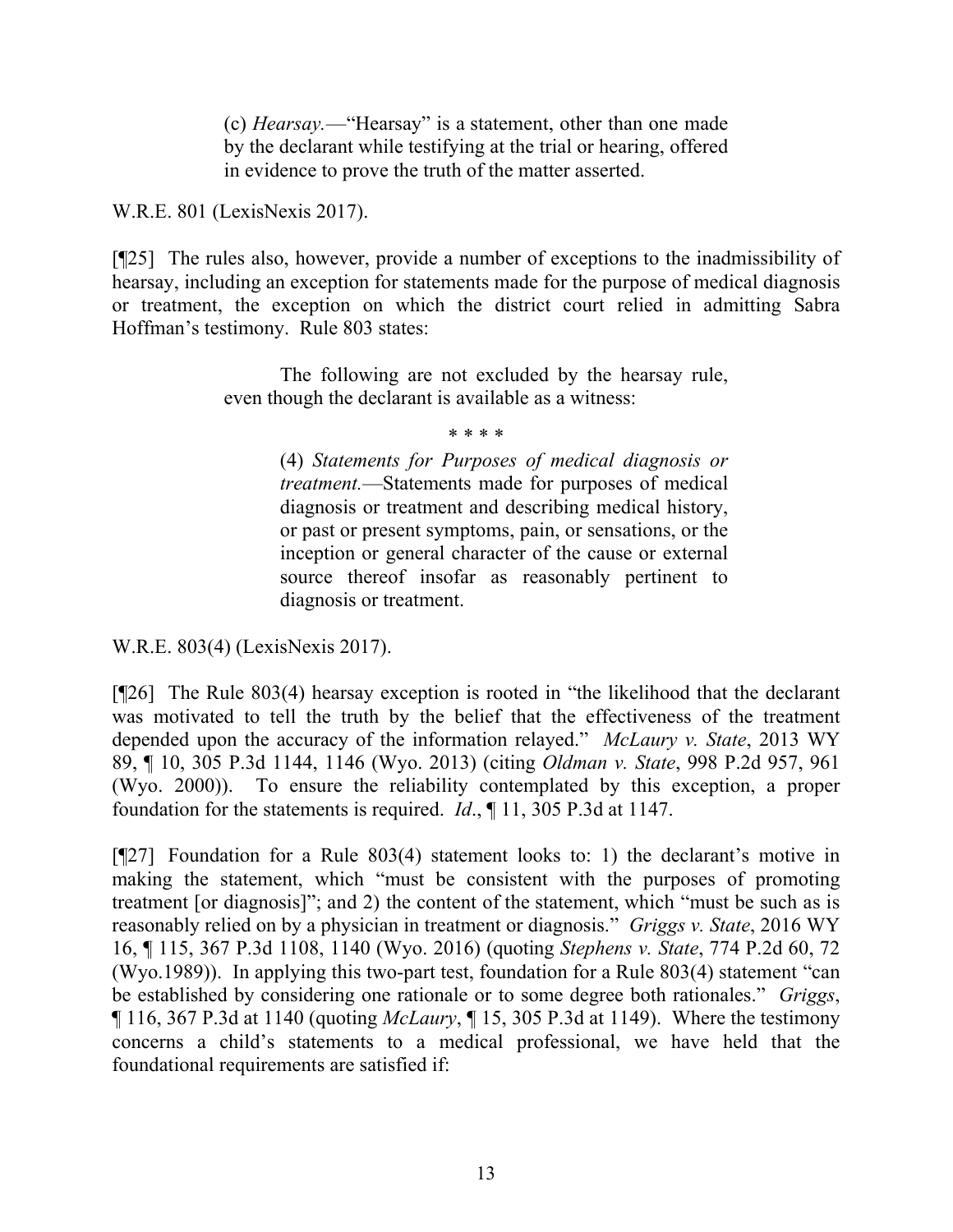(c) *Hearsay.*—"Hearsay" is a statement, other than one made by the declarant while testifying at the trial or hearing, offered in evidence to prove the truth of the matter asserted.

W.R.E. 801 (LexisNexis 2017).

[¶25] The rules also, however, provide a number of exceptions to the inadmissibility of hearsay, including an exception for statements made for the purpose of medical diagnosis or treatment, the exception on which the district court relied in admitting Sabra Hoffman's testimony. Rule 803 states:

> The following are not excluded by the hearsay rule, even though the declarant is available as a witness:

> > \* \* \* \*

(4) *Statements for Purposes of medical diagnosis or treatment.*—Statements made for purposes of medical diagnosis or treatment and describing medical history, or past or present symptoms, pain, or sensations, or the inception or general character of the cause or external source thereof insofar as reasonably pertinent to diagnosis or treatment.

W.R.E. 803(4) (LexisNexis 2017).

[¶26] The Rule 803(4) hearsay exception is rooted in "the likelihood that the declarant was motivated to tell the truth by the belief that the effectiveness of the treatment depended upon the accuracy of the information relayed." *McLaury v. State*, 2013 WY 89, ¶ 10, 305 P.3d 1144, 1146 (Wyo. 2013) (citing *Oldman v. State*, 998 P.2d 957, 961 (Wyo. 2000)). To ensure the reliability contemplated by this exception, a proper foundation for the statements is required. *Id*., ¶ 11, 305 P.3d at 1147.

[¶27] Foundation for a Rule 803(4) statement looks to: 1) the declarant's motive in making the statement, which "must be consistent with the purposes of promoting treatment [or diagnosis]"; and 2) the content of the statement, which "must be such as is reasonably relied on by a physician in treatment or diagnosis." *Griggs v. State*, 2016 WY 16, ¶ 115, 367 P.3d 1108, 1140 (Wyo. 2016) (quoting *Stephens v. State*, 774 P.2d 60, 72 (Wyo.1989)). In applying this two-part test, foundation for a Rule 803(4) statement "can be established by considering one rationale or to some degree both rationales." *Griggs*, ¶ 116, 367 P.3d at 1140 (quoting *McLaury*, ¶ 15, 305 P.3d at 1149). Where the testimony concerns a child's statements to a medical professional, we have held that the foundational requirements are satisfied if: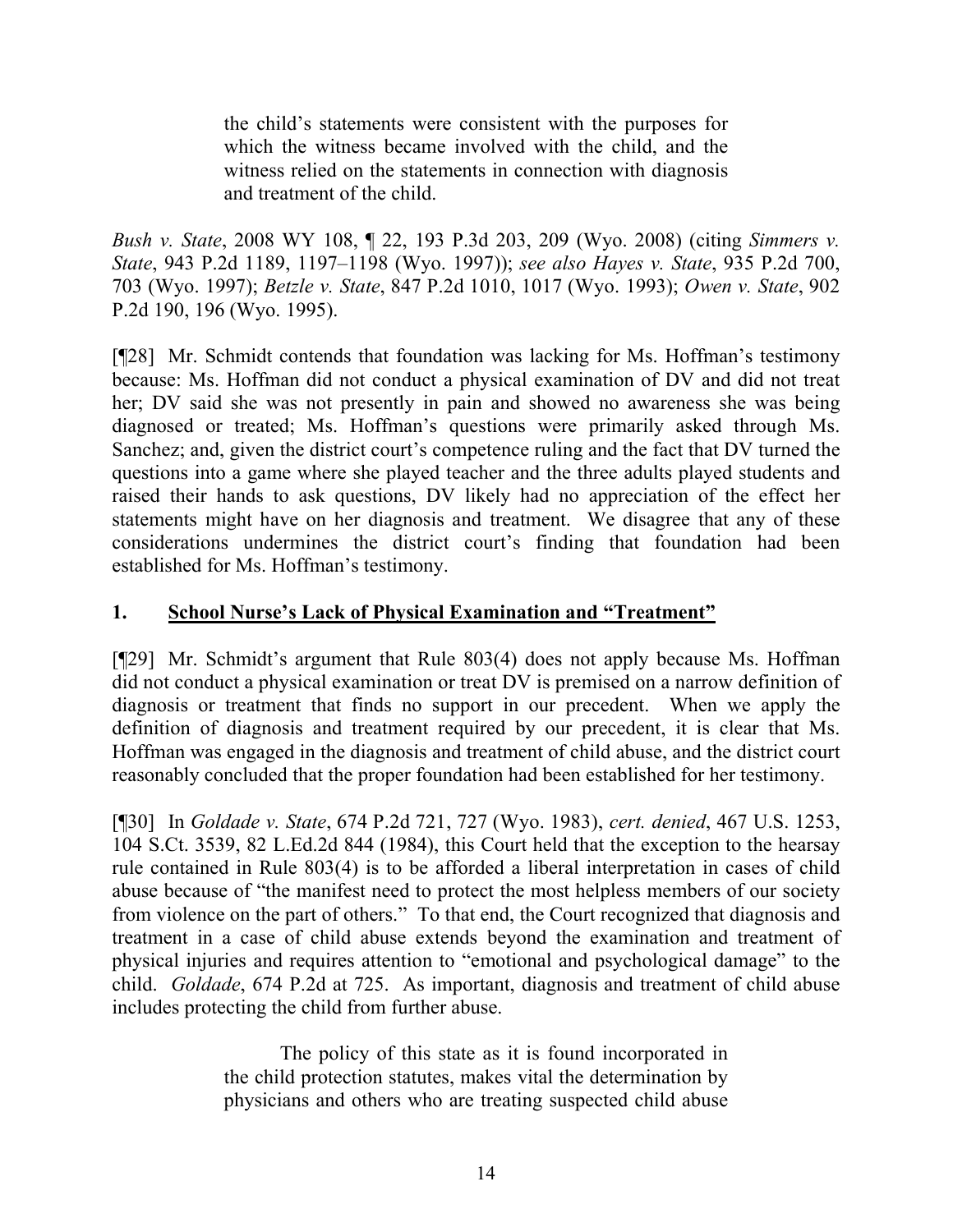the child's statements were consistent with the purposes for which the witness became involved with the child, and the witness relied on the statements in connection with diagnosis and treatment of the child.

*Bush v. State*, 2008 WY 108, ¶ 22, 193 P.3d 203, 209 (Wyo. 2008) (citing *Simmers v. State*, 943 P.2d 1189, 1197–1198 (Wyo. 1997)); *see also Hayes v. State*, 935 P.2d 700, 703 (Wyo. 1997); *Betzle v. State*, 847 P.2d 1010, 1017 (Wyo. 1993); *Owen v. State*, 902 P.2d 190, 196 (Wyo. 1995).

[¶28] Mr. Schmidt contends that foundation was lacking for Ms. Hoffman's testimony because: Ms. Hoffman did not conduct a physical examination of DV and did not treat her; DV said she was not presently in pain and showed no awareness she was being diagnosed or treated; Ms. Hoffman's questions were primarily asked through Ms. Sanchez; and, given the district court's competence ruling and the fact that DV turned the questions into a game where she played teacher and the three adults played students and raised their hands to ask questions, DV likely had no appreciation of the effect her statements might have on her diagnosis and treatment. We disagree that any of these considerations undermines the district court's finding that foundation had been established for Ms. Hoffman's testimony.

## **1. School Nurse's Lack of Physical Examination and "Treatment"**

[¶29] Mr. Schmidt's argument that Rule 803(4) does not apply because Ms. Hoffman did not conduct a physical examination or treat DV is premised on a narrow definition of diagnosis or treatment that finds no support in our precedent. When we apply the definition of diagnosis and treatment required by our precedent, it is clear that Ms. Hoffman was engaged in the diagnosis and treatment of child abuse, and the district court reasonably concluded that the proper foundation had been established for her testimony.

[¶30] In *Goldade v. State*, 674 P.2d 721, 727 (Wyo. 1983), *cert. denied*, 467 U.S. 1253, 104 S.Ct. 3539, 82 L.Ed.2d 844 (1984), this Court held that the exception to the hearsay rule contained in Rule 803(4) is to be afforded a liberal interpretation in cases of child abuse because of "the manifest need to protect the most helpless members of our society from violence on the part of others." To that end, the Court recognized that diagnosis and treatment in a case of child abuse extends beyond the examination and treatment of physical injuries and requires attention to "emotional and psychological damage" to the child. *Goldade*, 674 P.2d at 725. As important, diagnosis and treatment of child abuse includes protecting the child from further abuse.

> The policy of this state as it is found incorporated in the child protection statutes, makes vital the determination by physicians and others who are treating suspected child abuse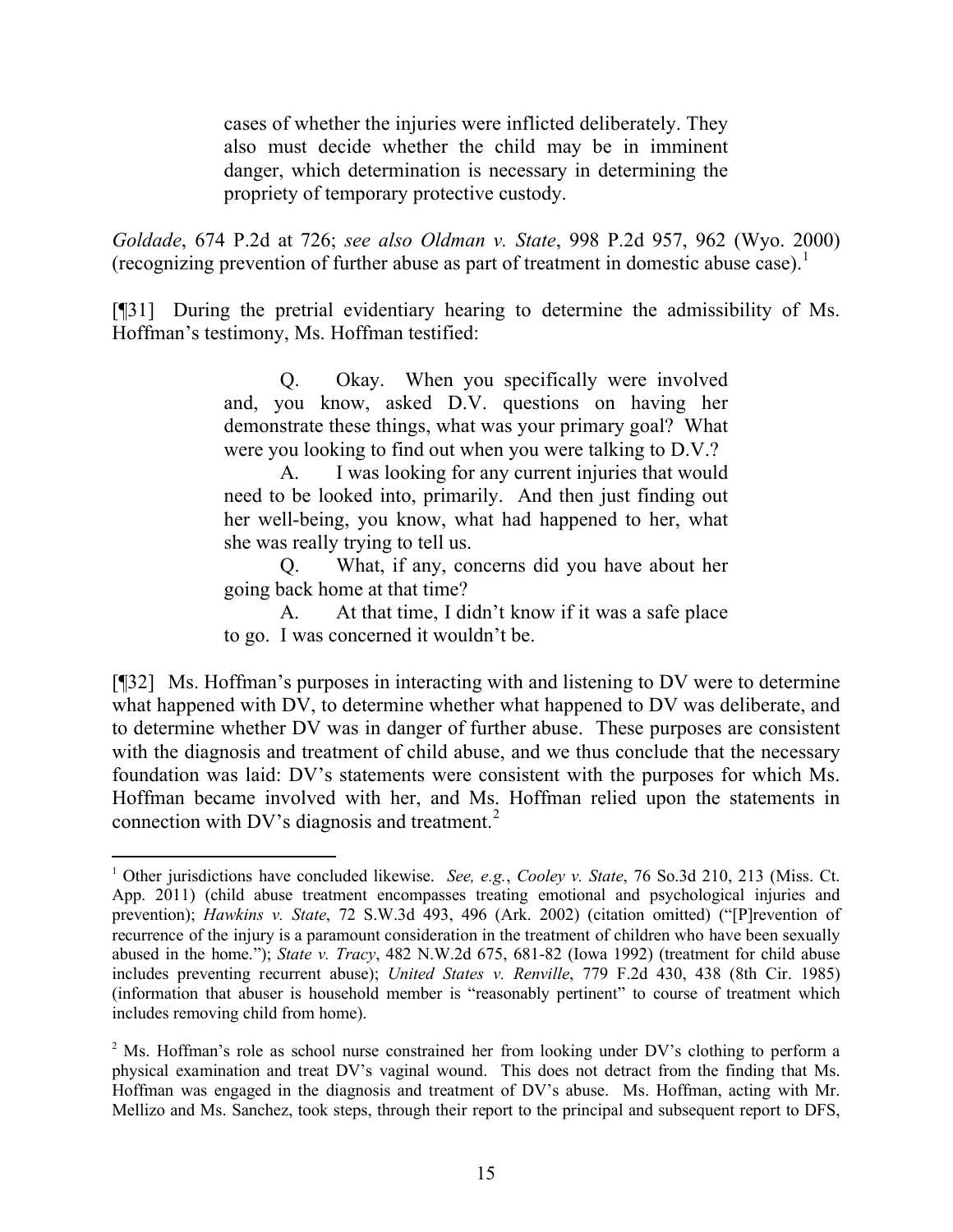cases of whether the injuries were inflicted deliberately. They also must decide whether the child may be in imminent danger, which determination is necessary in determining the propriety of temporary protective custody.

*Goldade*, 674 P.2d at 726; *see also Oldman v. State*, 998 P.2d 957, 962 (Wyo. 2000) (recognizing prevention of further abuse as part of treatment in domestic abuse case).<sup>1</sup>

[¶31] During the pretrial evidentiary hearing to determine the admissibility of Ms. Hoffman's testimony, Ms. Hoffman testified:

> Q. Okay. When you specifically were involved and, you know, asked D.V. questions on having her demonstrate these things, what was your primary goal? What were you looking to find out when you were talking to D.V.?

> A. I was looking for any current injuries that would need to be looked into, primarily. And then just finding out her well-being, you know, what had happened to her, what she was really trying to tell us.

> Q. What, if any, concerns did you have about her going back home at that time?

> A. At that time, I didn't know if it was a safe place to go. I was concerned it wouldn't be.

[¶32] Ms. Hoffman's purposes in interacting with and listening to DV were to determine what happened with DV, to determine whether what happened to DV was deliberate, and to determine whether DV was in danger of further abuse. These purposes are consistent with the diagnosis and treatment of child abuse, and we thus conclude that the necessary foundation was laid: DV's statements were consistent with the purposes for which Ms. Hoffman became involved with her, and Ms. Hoffman relied upon the statements in connection with DV's diagnosis and treatment. 2

<sup>1</sup> Other jurisdictions have concluded likewise. *See, e.g.*, *Cooley v. State*, 76 So.3d 210, 213 (Miss. Ct. App. 2011) (child abuse treatment encompasses treating emotional and psychological injuries and prevention); *Hawkins v. State*, 72 S.W.3d 493, 496 (Ark. 2002) (citation omitted) ("[P]revention of recurrence of the injury is a paramount consideration in the treatment of children who have been sexually abused in the home."); *State v. Tracy*, 482 N.W.2d 675, 681-82 (Iowa 1992) (treatment for child abuse includes preventing recurrent abuse); *United States v. Renville*, 779 F.2d 430, 438 (8th Cir. 1985) (information that abuser is household member is "reasonably pertinent" to course of treatment which includes removing child from home).

<sup>&</sup>lt;sup>2</sup> Ms. Hoffman's role as school nurse constrained her from looking under DV's clothing to perform a physical examination and treat DV's vaginal wound. This does not detract from the finding that Ms. Hoffman was engaged in the diagnosis and treatment of DV's abuse. Ms. Hoffman, acting with Mr. Mellizo and Ms. Sanchez, took steps, through their report to the principal and subsequent report to DFS,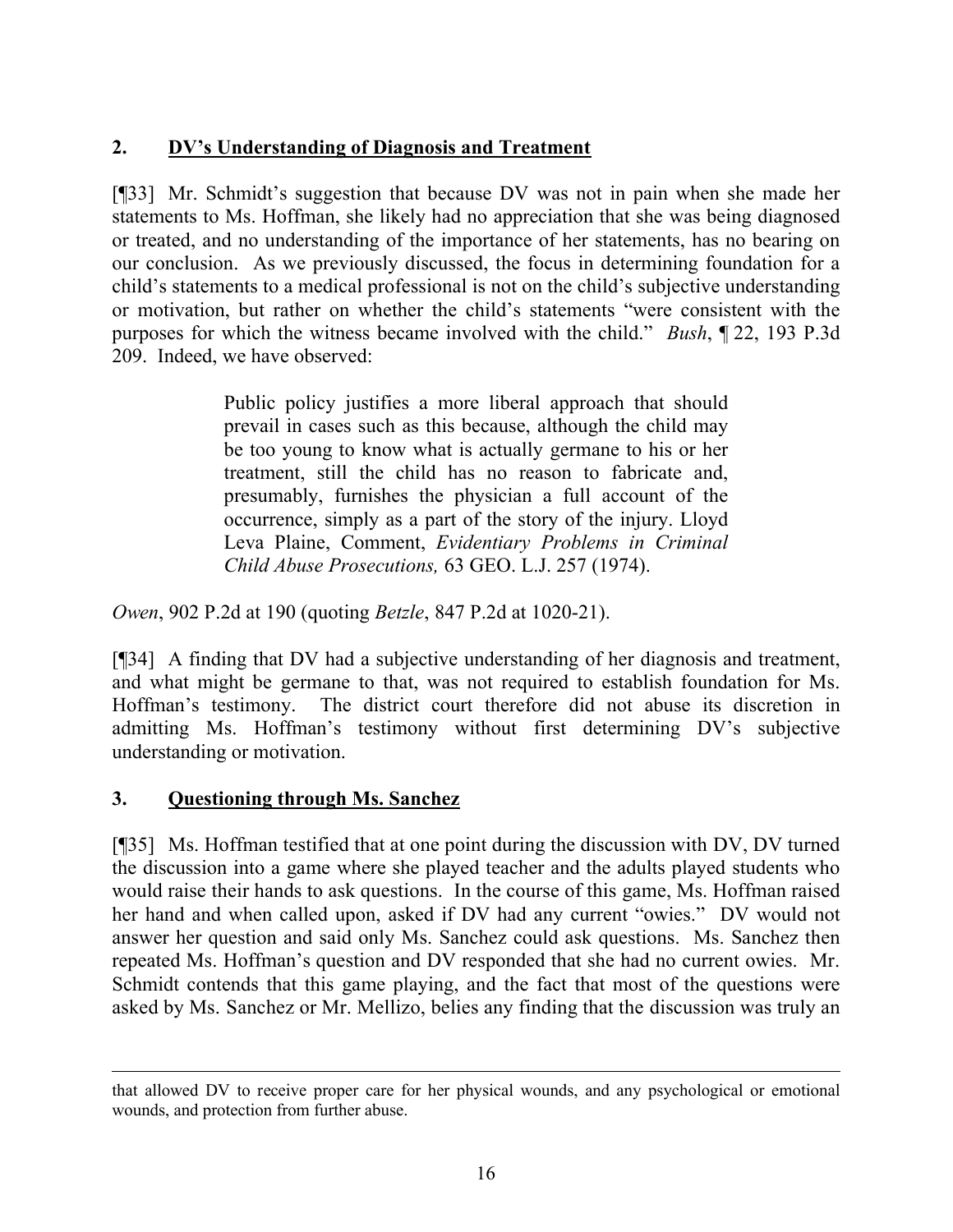# **2. DV's Understanding of Diagnosis and Treatment**

[¶33] Mr. Schmidt's suggestion that because DV was not in pain when she made her statements to Ms. Hoffman, she likely had no appreciation that she was being diagnosed or treated, and no understanding of the importance of her statements, has no bearing on our conclusion. As we previously discussed, the focus in determining foundation for a child's statements to a medical professional is not on the child's subjective understanding or motivation, but rather on whether the child's statements "were consistent with the purposes for which the witness became involved with the child." *Bush*, ¶ 22, 193 P.3d 209. Indeed, we have observed:

> Public policy justifies a more liberal approach that should prevail in cases such as this because, although the child may be too young to know what is actually germane to his or her treatment, still the child has no reason to fabricate and, presumably, furnishes the physician a full account of the occurrence, simply as a part of the story of the injury. Lloyd Leva Plaine, Comment, *Evidentiary Problems in Criminal Child Abuse Prosecutions,* 63 GEO. L.J. 257 (1974).

*Owen*, 902 P.2d at 190 (quoting *Betzle*, 847 P.2d at 1020-21).

[¶34] A finding that DV had a subjective understanding of her diagnosis and treatment, and what might be germane to that, was not required to establish foundation for Ms. Hoffman's testimony. The district court therefore did not abuse its discretion in admitting Ms. Hoffman's testimony without first determining DV's subjective understanding or motivation.

# **3. Questioning through Ms. Sanchez**

[¶35] Ms. Hoffman testified that at one point during the discussion with DV, DV turned the discussion into a game where she played teacher and the adults played students who would raise their hands to ask questions. In the course of this game, Ms. Hoffman raised her hand and when called upon, asked if DV had any current "owies." DV would not answer her question and said only Ms. Sanchez could ask questions. Ms. Sanchez then repeated Ms. Hoffman's question and DV responded that she had no current owies. Mr. Schmidt contends that this game playing, and the fact that most of the questions were asked by Ms. Sanchez or Mr. Mellizo, belies any finding that the discussion was truly an

that allowed DV to receive proper care for her physical wounds, and any psychological or emotional wounds, and protection from further abuse.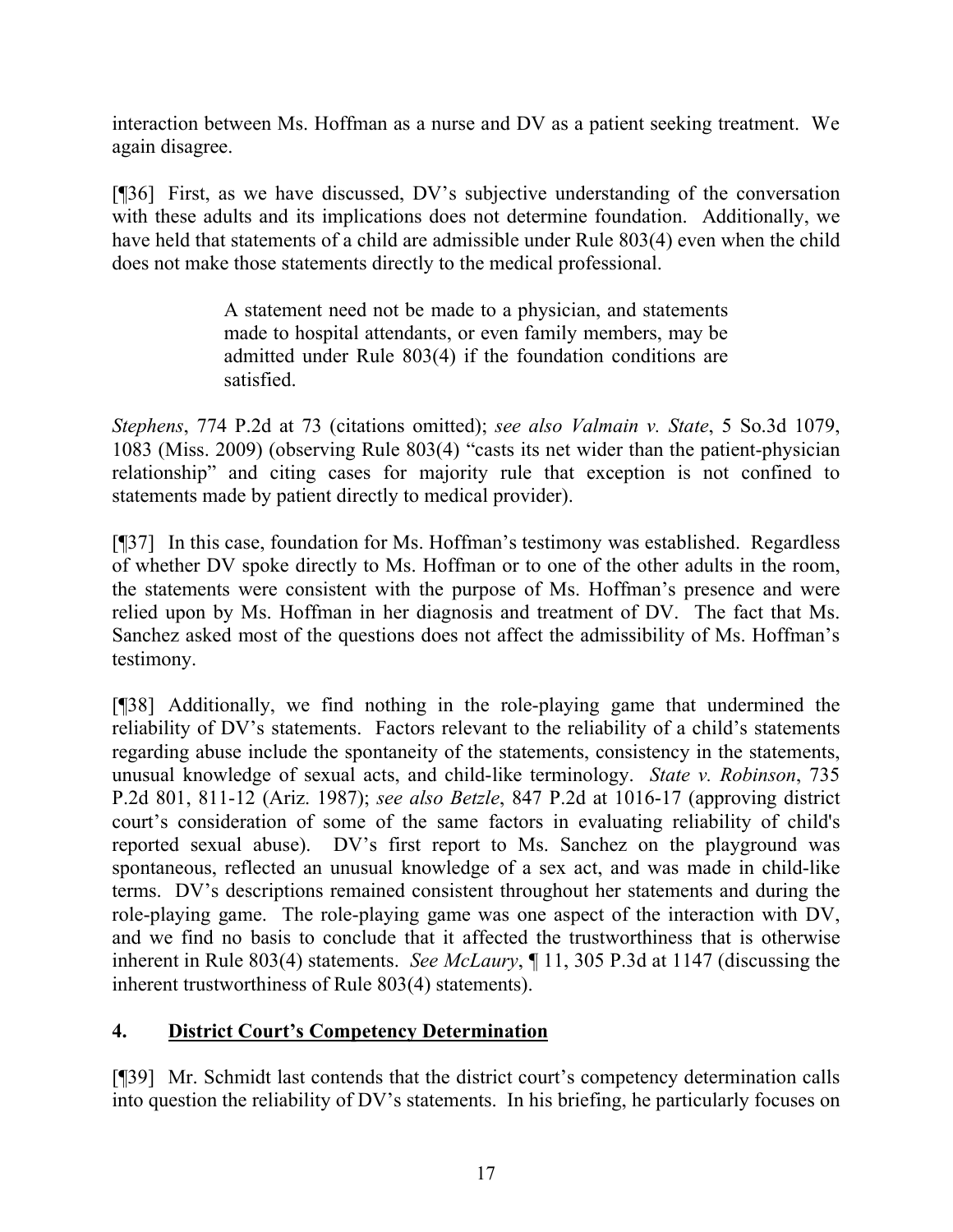interaction between Ms. Hoffman as a nurse and DV as a patient seeking treatment. We again disagree.

[¶36] First, as we have discussed, DV's subjective understanding of the conversation with these adults and its implications does not determine foundation. Additionally, we have held that statements of a child are admissible under Rule 803(4) even when the child does not make those statements directly to the medical professional.

> A statement need not be made to a physician, and statements made to hospital attendants, or even family members, may be admitted under Rule 803(4) if the foundation conditions are satisfied.

*Stephens*, 774 P.2d at 73 (citations omitted); *see also Valmain v. State*, 5 So.3d 1079, 1083 (Miss. 2009) (observing Rule 803(4) "casts its net wider than the patient-physician relationship" and citing cases for majority rule that exception is not confined to statements made by patient directly to medical provider).

[¶37] In this case, foundation for Ms. Hoffman's testimony was established. Regardless of whether DV spoke directly to Ms. Hoffman or to one of the other adults in the room, the statements were consistent with the purpose of Ms. Hoffman's presence and were relied upon by Ms. Hoffman in her diagnosis and treatment of DV. The fact that Ms. Sanchez asked most of the questions does not affect the admissibility of Ms. Hoffman's testimony.

[¶38] Additionally, we find nothing in the role-playing game that undermined the reliability of DV's statements. Factors relevant to the reliability of a child's statements regarding abuse include the spontaneity of the statements, consistency in the statements, unusual knowledge of sexual acts, and child-like terminology. *State v. Robinson*, 735 P.2d 801, 811-12 (Ariz. 1987); *see also Betzle*, 847 P.2d at 1016-17 (approving district court's consideration of some of the same factors in evaluating reliability of child's reported sexual abuse). DV's first report to Ms. Sanchez on the playground was spontaneous, reflected an unusual knowledge of a sex act, and was made in child-like terms. DV's descriptions remained consistent throughout her statements and during the role-playing game. The role-playing game was one aspect of the interaction with DV, and we find no basis to conclude that it affected the trustworthiness that is otherwise inherent in Rule 803(4) statements. *See McLaury*, ¶ 11, 305 P.3d at 1147 (discussing the inherent trustworthiness of Rule 803(4) statements).

# **4. District Court's Competency Determination**

[¶39] Mr. Schmidt last contends that the district court's competency determination calls into question the reliability of DV's statements. In his briefing, he particularly focuses on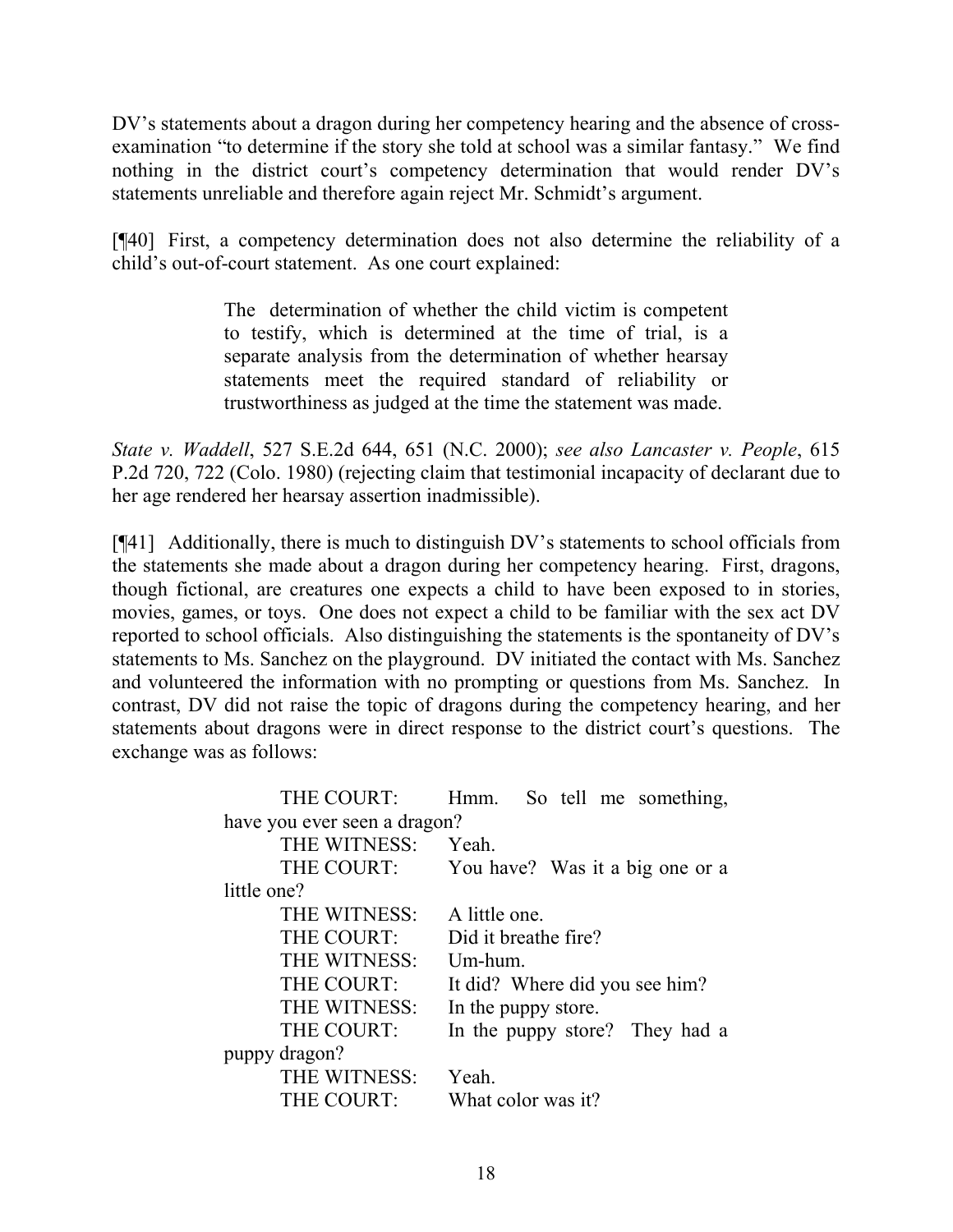DV's statements about a dragon during her competency hearing and the absence of crossexamination "to determine if the story she told at school was a similar fantasy." We find nothing in the district court's competency determination that would render DV's statements unreliable and therefore again reject Mr. Schmidt's argument.

[¶40] First, a competency determination does not also determine the reliability of a child's out-of-court statement. As one court explained:

> The determination of whether the child victim is competent to testify, which is determined at the time of trial, is a separate analysis from the determination of whether hearsay statements meet the required standard of reliability or trustworthiness as judged at the time the statement was made.

*State v. Waddell*, 527 S.E.2d 644, 651 (N.C. 2000); *see also Lancaster v. People*, 615 P.2d 720, 722 (Colo. 1980) (rejecting claim that testimonial incapacity of declarant due to her age rendered her hearsay assertion inadmissible).

[¶41] Additionally, there is much to distinguish DV's statements to school officials from the statements she made about a dragon during her competency hearing. First, dragons, though fictional, are creatures one expects a child to have been exposed to in stories, movies, games, or toys. One does not expect a child to be familiar with the sex act DV reported to school officials. Also distinguishing the statements is the spontaneity of DV's statements to Ms. Sanchez on the playground. DV initiated the contact with Ms. Sanchez and volunteered the information with no prompting or questions from Ms. Sanchez. In contrast, DV did not raise the topic of dragons during the competency hearing, and her statements about dragons were in direct response to the district court's questions. The exchange was as follows:

| THE COURT:                   | So tell me something,<br>Hmm.   |
|------------------------------|---------------------------------|
| have you ever seen a dragon? |                                 |
| THE WITNESS:                 | Yeah.                           |
| THE COURT:                   | You have? Was it a big one or a |
| little one?                  |                                 |
| THE WITNESS:                 | A little one.                   |
| THE COURT:                   | Did it breathe fire?            |
| THE WITNESS:                 | $Um$ -hum.                      |
| THE COURT:                   | It did? Where did you see him?  |
| THE WITNESS:                 | In the puppy store.             |
| THE COURT:                   | In the puppy store? They had a  |
| puppy dragon?                |                                 |
| THE WITNESS:                 | Yeah.                           |
| THE COURT:                   | What color was it?              |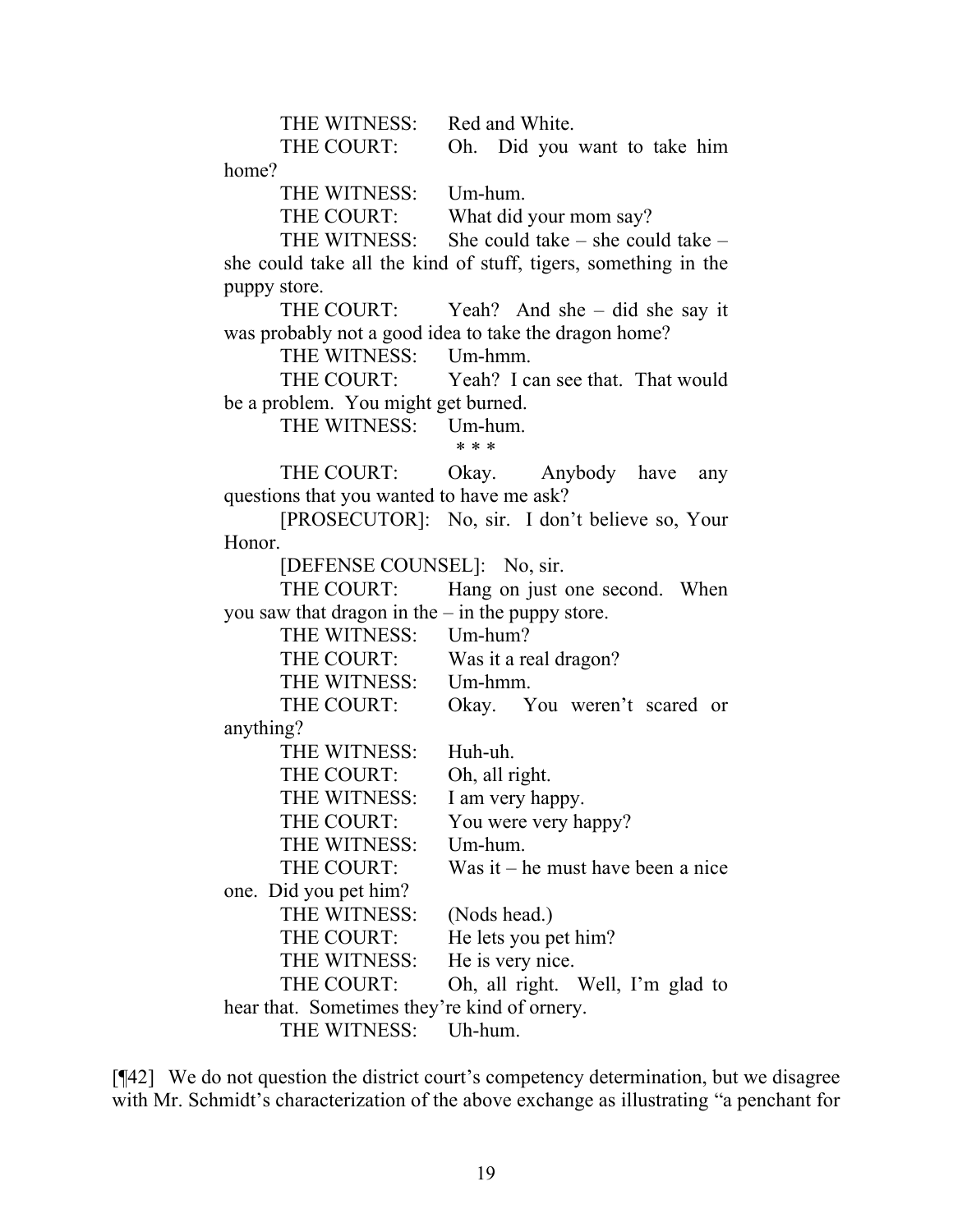| THE WITNESS:                                                   | Red and White.                                  |
|----------------------------------------------------------------|-------------------------------------------------|
| THE COURT:                                                     | Oh. Did you want to take him                    |
| home?                                                          |                                                 |
| THE WITNESS: Um-hum.                                           |                                                 |
|                                                                | THE COURT: What did your mom say?               |
|                                                                | THE WITNESS: She could take - she could take -  |
| she could take all the kind of stuff, tigers, something in the |                                                 |
| puppy store.                                                   |                                                 |
| THE COURT:                                                     | Yeah? And she – did she say it                  |
| was probably not a good idea to take the dragon home?          |                                                 |
| THE WITNESS: Um-hmm.                                           |                                                 |
|                                                                | THE COURT: Yeah? I can see that. That would     |
| be a problem. You might get burned.                            |                                                 |
| THE WITNESS: Um-hum.                                           | * * *                                           |
|                                                                | THE COURT: Okay. Anybody have any               |
| questions that you wanted to have me ask?                      |                                                 |
|                                                                | [PROSECUTOR]: No, sir. I don't believe so, Your |
| Honor.                                                         |                                                 |
| [DEFENSE COUNSEL]: No, sir.                                    |                                                 |
| THE COURT:                                                     | Hang on just one second. When                   |
| you saw that dragon in the $-$ in the puppy store.             |                                                 |
| THE WITNESS:                                                   | $Um-hum?$                                       |
|                                                                | THE COURT: Was it a real dragon?                |
| THE WITNESS: Um-hmm.                                           |                                                 |
| THE COURT:                                                     | Okay. You weren't scared or                     |
| anything?                                                      |                                                 |
| THE WITNESS:                                                   | Huh-uh.                                         |
| THE COURT:                                                     | Oh, all right.                                  |
| THE WITNESS:                                                   | I am very happy.                                |
| THE COURT:                                                     | You were very happy?                            |
| THE WITNESS:                                                   | Um-hum.                                         |
| THE COURT:                                                     | Was it $-$ he must have been a nice             |
| one. Did you pet him?                                          |                                                 |
| THE WITNESS:                                                   | (Nods head.)                                    |
| THE COURT:                                                     | He lets you pet him?                            |
| THE WITNESS:                                                   | He is very nice.                                |
| THE COURT:                                                     | Oh, all right. Well, I'm glad to                |
| hear that. Sometimes they're kind of ornery.                   |                                                 |
| THE WITNESS:                                                   | Uh-hum.                                         |
|                                                                |                                                 |

[¶42] We do not question the district court's competency determination, but we disagree with Mr. Schmidt's characterization of the above exchange as illustrating "a penchant for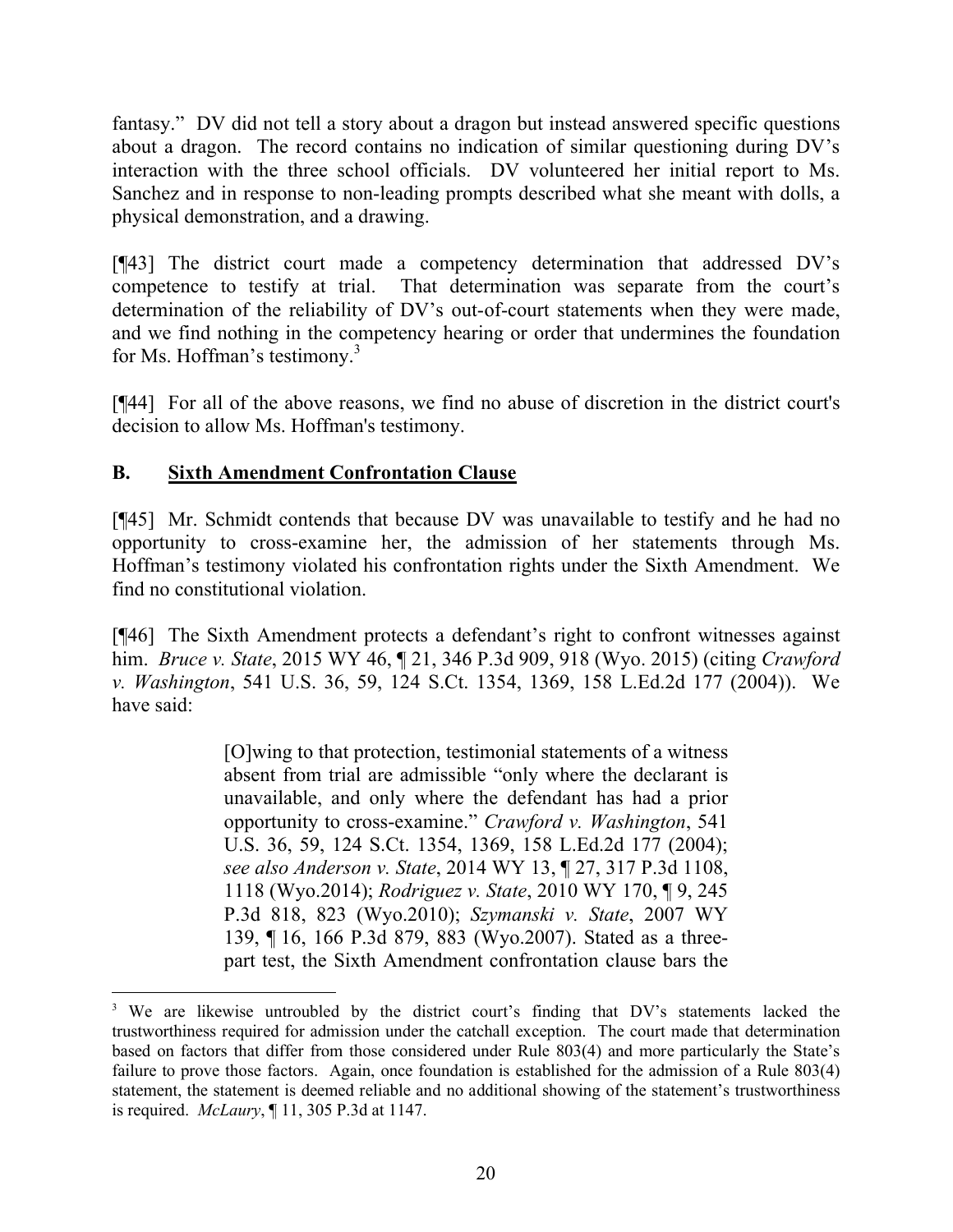fantasy." DV did not tell a story about a dragon but instead answered specific questions about a dragon. The record contains no indication of similar questioning during DV's interaction with the three school officials. DV volunteered her initial report to Ms. Sanchez and in response to non-leading prompts described what she meant with dolls, a physical demonstration, and a drawing.

[¶43] The district court made a competency determination that addressed DV's competence to testify at trial. That determination was separate from the court's determination of the reliability of DV's out-of-court statements when they were made, and we find nothing in the competency hearing or order that undermines the foundation for Ms. Hoffman's testimony.<sup>3</sup>

[¶44] For all of the above reasons, we find no abuse of discretion in the district court's decision to allow Ms. Hoffman's testimony.

# **B. Sixth Amendment Confrontation Clause**

[¶45] Mr. Schmidt contends that because DV was unavailable to testify and he had no opportunity to cross-examine her, the admission of her statements through Ms. Hoffman's testimony violated his confrontation rights under the Sixth Amendment. We find no constitutional violation.

[¶46] The Sixth Amendment protects a defendant's right to confront witnesses against him. *Bruce v. State*, 2015 WY 46, ¶ 21, 346 P.3d 909, 918 (Wyo. 2015) (citing *Crawford v. Washington*, 541 U.S. 36, 59, 124 S.Ct. 1354, 1369, 158 L.Ed.2d 177 (2004)). We have said:

> [O]wing to that protection, testimonial statements of a witness absent from trial are admissible "only where the declarant is unavailable, and only where the defendant has had a prior opportunity to cross-examine." *Crawford v. Washington*, 541 U.S. 36, 59, 124 S.Ct. 1354, 1369, 158 L.Ed.2d 177 (2004); *see also Anderson v. State*, 2014 WY 13, ¶ 27, 317 P.3d 1108, 1118 (Wyo.2014); *Rodriguez v. State*, 2010 WY 170, ¶ 9, 245 P.3d 818, 823 (Wyo.2010); *Szymanski v. State*, 2007 WY 139, ¶ 16, 166 P.3d 879, 883 (Wyo.2007). Stated as a threepart test, the Sixth Amendment confrontation clause bars the

<sup>&</sup>lt;sup>3</sup> We are likewise untroubled by the district court's finding that DV's statements lacked the trustworthiness required for admission under the catchall exception. The court made that determination based on factors that differ from those considered under Rule 803(4) and more particularly the State's failure to prove those factors. Again, once foundation is established for the admission of a Rule 803(4) statement, the statement is deemed reliable and no additional showing of the statement's trustworthiness is required. *McLaury*, ¶ 11, 305 P.3d at 1147.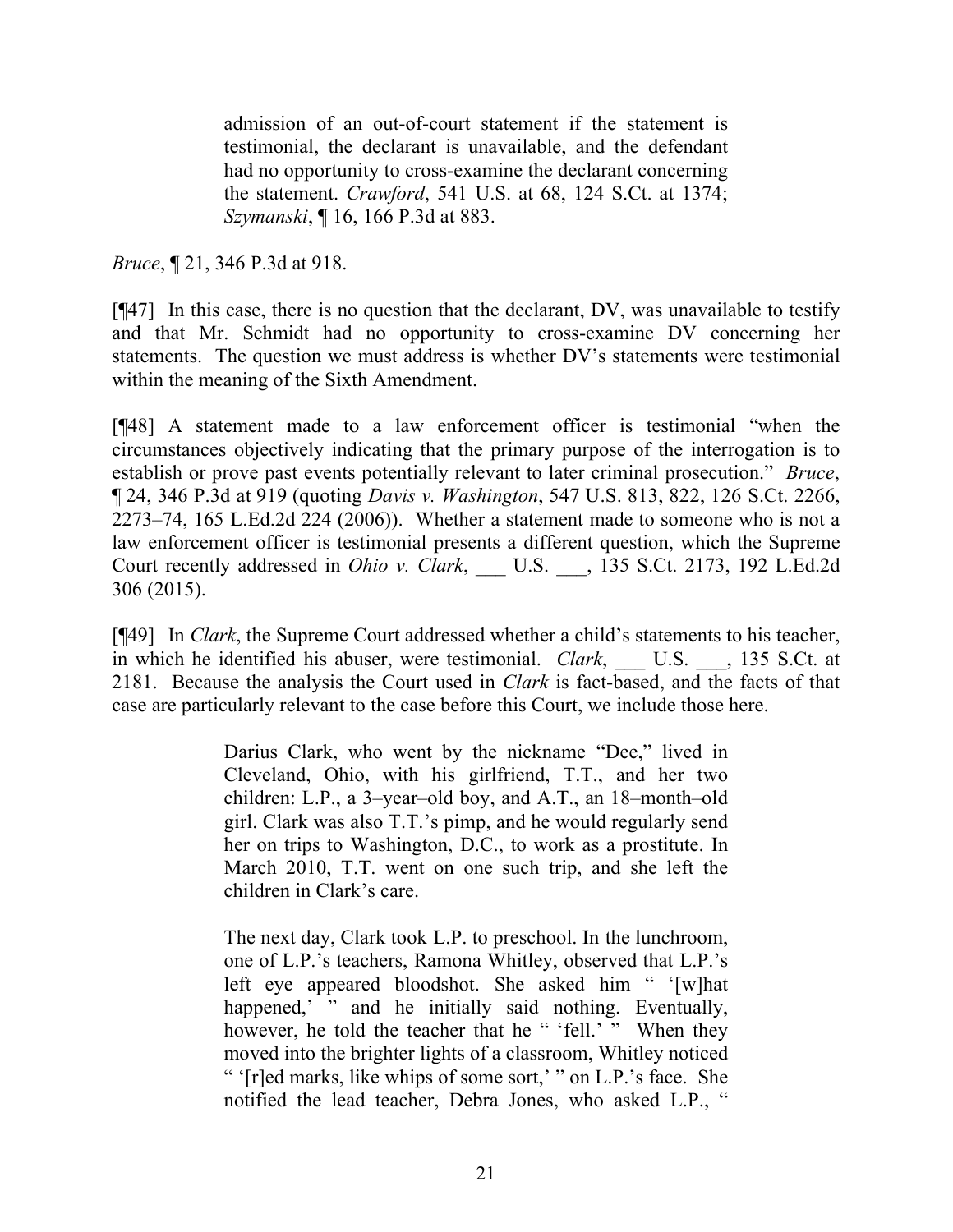admission of an out-of-court statement if the statement is testimonial, the declarant is unavailable, and the defendant had no opportunity to cross-examine the declarant concerning the statement. *Crawford*, 541 U.S. at 68, 124 S.Ct. at 1374; *Szymanski*, ¶ 16, 166 P.3d at 883.

*Bruce*, ¶ 21, 346 P.3d at 918.

[¶47] In this case, there is no question that the declarant, DV, was unavailable to testify and that Mr. Schmidt had no opportunity to cross-examine DV concerning her statements. The question we must address is whether DV's statements were testimonial within the meaning of the Sixth Amendment.

[¶48] A statement made to a law enforcement officer is testimonial "when the circumstances objectively indicating that the primary purpose of the interrogation is to establish or prove past events potentially relevant to later criminal prosecution." *Bruce*, ¶ 24, 346 P.3d at 919 (quoting *Davis v. Washington*, 547 U.S. 813, 822, 126 S.Ct. 2266, 2273–74, 165 L.Ed.2d 224 (2006)). Whether a statement made to someone who is not a law enforcement officer is testimonial presents a different question, which the Supreme Court recently addressed in *Ohio v. Clark*, U.S. , 135 S.Ct. 2173, 192 L.Ed.2d 306 (2015).

[¶49] In *Clark*, the Supreme Court addressed whether a child's statements to his teacher, in which he identified his abuser, were testimonial. *Clark*, U.S. , 135 S.Ct. at 2181. Because the analysis the Court used in *Clark* is fact-based, and the facts of that case are particularly relevant to the case before this Court, we include those here.

> Darius Clark, who went by the nickname "Dee," lived in Cleveland, Ohio, with his girlfriend, T.T., and her two children: L.P., a 3–year–old boy, and A.T., an 18–month–old girl. Clark was also T.T.'s pimp, and he would regularly send her on trips to Washington, D.C., to work as a prostitute. In March 2010, T.T. went on one such trip, and she left the children in Clark's care.

> The next day, Clark took L.P. to preschool. In the lunchroom, one of L.P.'s teachers, Ramona Whitley, observed that L.P.'s left eye appeared bloodshot. She asked him " '[w]hat happened," " and he initially said nothing. Eventually, however, he told the teacher that he " 'fell.' " When they moved into the brighter lights of a classroom, Whitley noticed " '[r]ed marks, like whips of some sort,' " on L.P.'s face. She notified the lead teacher, Debra Jones, who asked L.P., "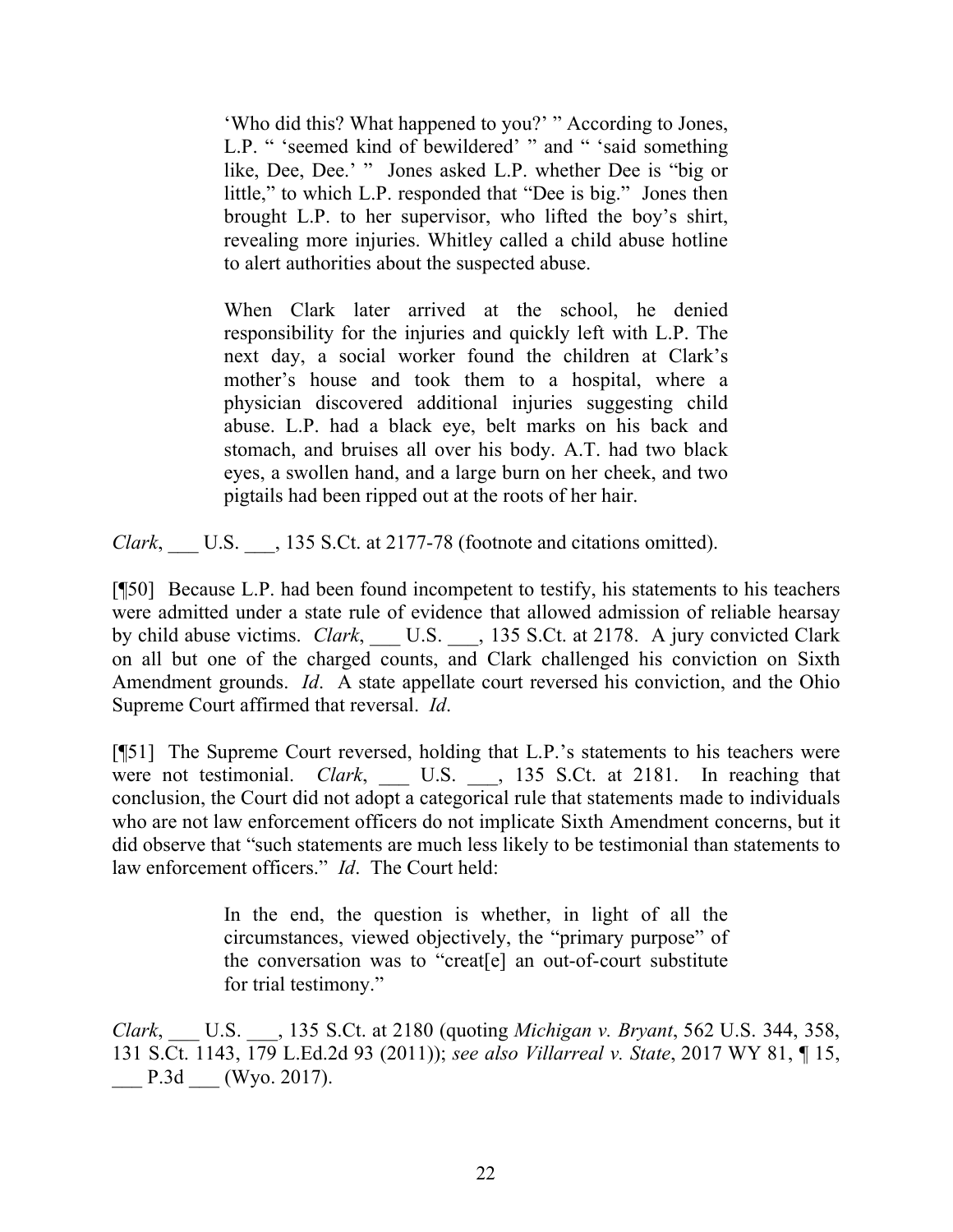'Who did this? What happened to you?' " According to Jones, L.P. " 'seemed kind of bewildered' " and " 'said something like, Dee, Dee.' " Jones asked L.P. whether Dee is "big or little," to which L.P. responded that "Dee is big." Jones then brought L.P. to her supervisor, who lifted the boy's shirt, revealing more injuries. Whitley called a child abuse hotline to alert authorities about the suspected abuse.

When Clark later arrived at the school, he denied responsibility for the injuries and quickly left with L.P. The next day, a social worker found the children at Clark's mother's house and took them to a hospital, where a physician discovered additional injuries suggesting child abuse. L.P. had a black eye, belt marks on his back and stomach, and bruises all over his body. A.T. had two black eyes, a swollen hand, and a large burn on her cheek, and two pigtails had been ripped out at the roots of her hair.

*Clark*, U.S. , 135 S.Ct. at 2177-78 (footnote and citations omitted).

[¶50] Because L.P. had been found incompetent to testify, his statements to his teachers were admitted under a state rule of evidence that allowed admission of reliable hearsay by child abuse victims. *Clark*, U.S. , 135 S.Ct. at 2178. A jury convicted Clark on all but one of the charged counts, and Clark challenged his conviction on Sixth Amendment grounds. *Id*. A state appellate court reversed his conviction, and the Ohio Supreme Court affirmed that reversal. *Id*.

[¶51] The Supreme Court reversed, holding that L.P.'s statements to his teachers were were not testimonial. *Clark*, \_\_\_ U.S. \_\_\_, 135 S.Ct. at 2181. In reaching that conclusion, the Court did not adopt a categorical rule that statements made to individuals who are not law enforcement officers do not implicate Sixth Amendment concerns, but it did observe that "such statements are much less likely to be testimonial than statements to law enforcement officers." *Id*. The Court held:

> In the end, the question is whether, in light of all the circumstances, viewed objectively, the "primary purpose" of the conversation was to "creat[e] an out-of-court substitute for trial testimony."

*Clark*, \_\_\_ U.S. \_\_\_, 135 S.Ct. at 2180 (quoting *Michigan v. Bryant*, 562 U.S. 344, 358, 131 S.Ct. 1143, 179 L.Ed.2d 93 (2011)); *see also Villarreal v. State*, 2017 WY 81, ¶ 15, P.3d (Wyo. 2017).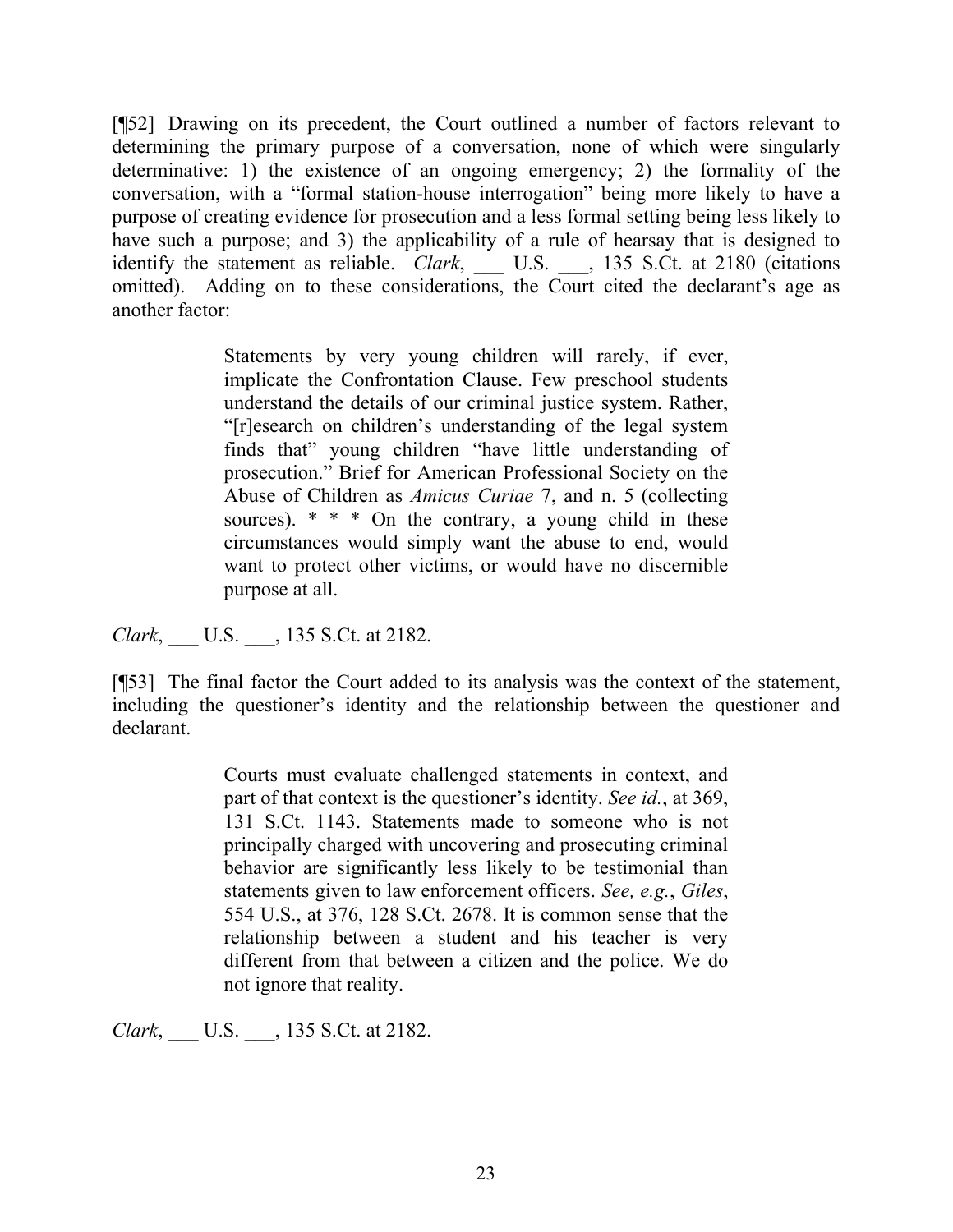[¶52] Drawing on its precedent, the Court outlined a number of factors relevant to determining the primary purpose of a conversation, none of which were singularly determinative: 1) the existence of an ongoing emergency; 2) the formality of the conversation, with a "formal station-house interrogation" being more likely to have a purpose of creating evidence for prosecution and a less formal setting being less likely to have such a purpose; and 3) the applicability of a rule of hearsay that is designed to identify the statement as reliable. *Clark*, U.S. , 135 S.Ct. at 2180 (citations omitted). Adding on to these considerations, the Court cited the declarant's age as another factor:

> Statements by very young children will rarely, if ever, implicate the Confrontation Clause. Few preschool students understand the details of our criminal justice system. Rather, "[r]esearch on children's understanding of the legal system finds that" young children "have little understanding of prosecution." Brief for American Professional Society on the Abuse of Children as *Amicus Curiae* 7, and n. 5 (collecting sources).  $* * *$  On the contrary, a young child in these circumstances would simply want the abuse to end, would want to protect other victims, or would have no discernible purpose at all.

*Clark*, \_\_\_ U.S. \_\_\_, 135 S.Ct. at 2182.

[¶53] The final factor the Court added to its analysis was the context of the statement, including the questioner's identity and the relationship between the questioner and declarant.

> Courts must evaluate challenged statements in context, and part of that context is the questioner's identity. *See id.*, at 369, 131 S.Ct. 1143. Statements made to someone who is not principally charged with uncovering and prosecuting criminal behavior are significantly less likely to be testimonial than statements given to law enforcement officers. *See, e.g.*, *Giles*, 554 U.S., at 376, 128 S.Ct. 2678. It is common sense that the relationship between a student and his teacher is very different from that between a citizen and the police. We do not ignore that reality.

*Clark*, \_\_\_ U.S. \_\_\_, 135 S.Ct. at 2182.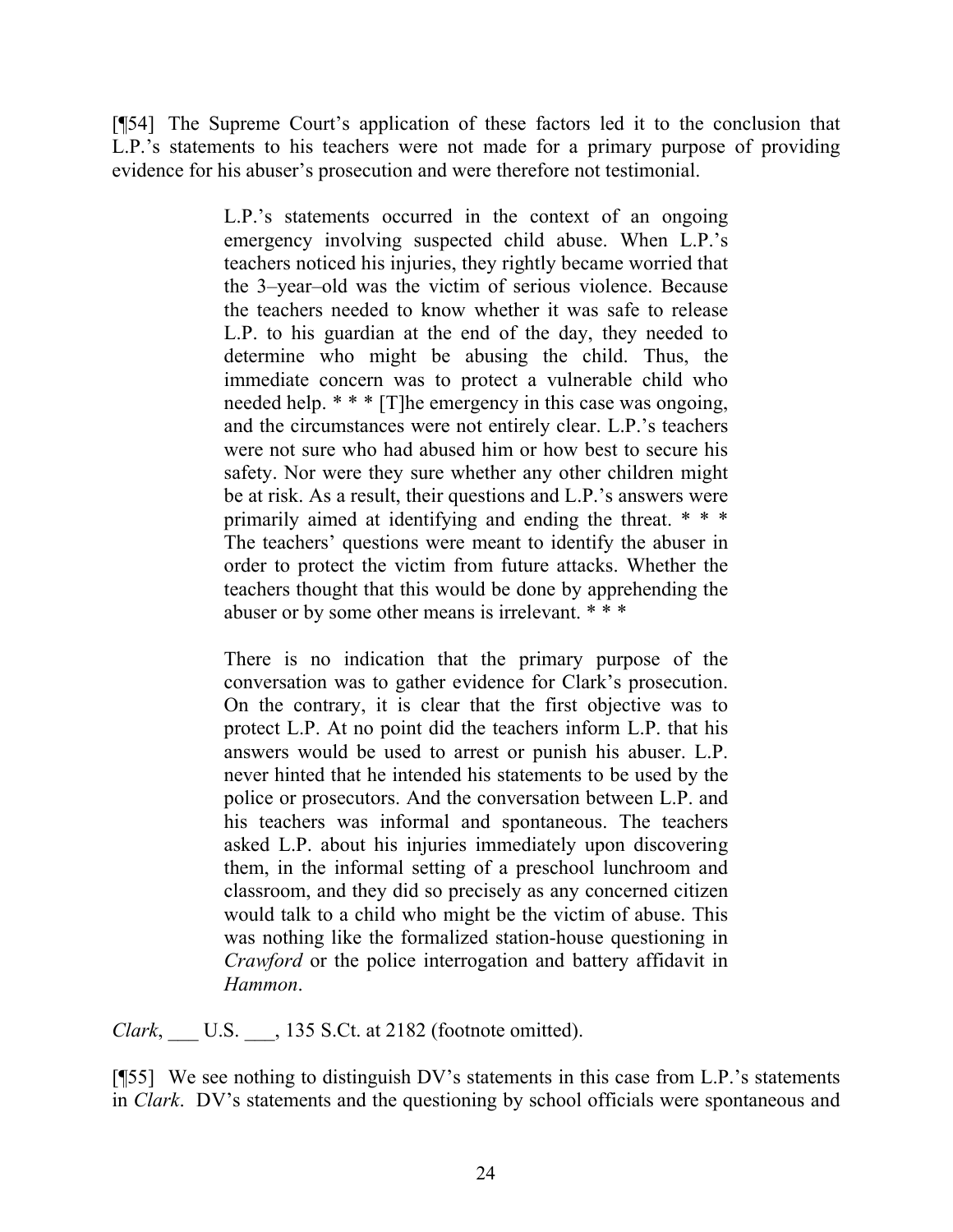[¶54] The Supreme Court's application of these factors led it to the conclusion that L.P.'s statements to his teachers were not made for a primary purpose of providing evidence for his abuser's prosecution and were therefore not testimonial.

> L.P.'s statements occurred in the context of an ongoing emergency involving suspected child abuse. When L.P.'s teachers noticed his injuries, they rightly became worried that the 3–year–old was the victim of serious violence. Because the teachers needed to know whether it was safe to release L.P. to his guardian at the end of the day, they needed to determine who might be abusing the child. Thus, the immediate concern was to protect a vulnerable child who needed help. \* \* \* [T]he emergency in this case was ongoing, and the circumstances were not entirely clear. L.P.'s teachers were not sure who had abused him or how best to secure his safety. Nor were they sure whether any other children might be at risk. As a result, their questions and L.P.'s answers were primarily aimed at identifying and ending the threat. \* \* \* The teachers' questions were meant to identify the abuser in order to protect the victim from future attacks. Whether the teachers thought that this would be done by apprehending the abuser or by some other means is irrelevant. \* \* \*

> There is no indication that the primary purpose of the conversation was to gather evidence for Clark's prosecution. On the contrary, it is clear that the first objective was to protect L.P. At no point did the teachers inform L.P. that his answers would be used to arrest or punish his abuser. L.P. never hinted that he intended his statements to be used by the police or prosecutors. And the conversation between L.P. and his teachers was informal and spontaneous. The teachers asked L.P. about his injuries immediately upon discovering them, in the informal setting of a preschool lunchroom and classroom, and they did so precisely as any concerned citizen would talk to a child who might be the victim of abuse. This was nothing like the formalized station-house questioning in *Crawford* or the police interrogation and battery affidavit in *Hammon*.

*Clark*, \_\_\_ U.S. \_\_\_, 135 S.Ct. at 2182 (footnote omitted).

[¶55] We see nothing to distinguish DV's statements in this case from L.P.'s statements in *Clark*. DV's statements and the questioning by school officials were spontaneous and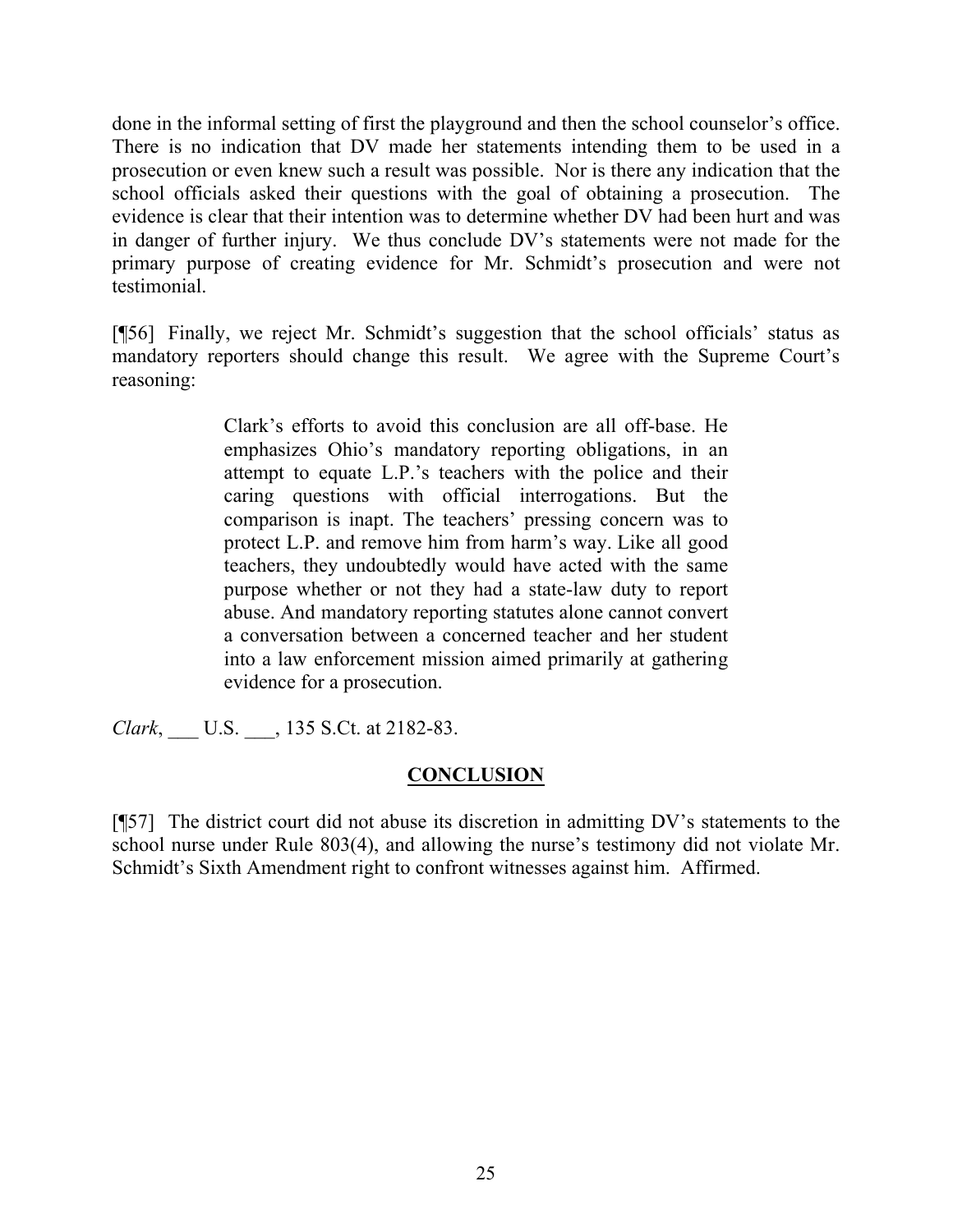done in the informal setting of first the playground and then the school counselor's office. There is no indication that DV made her statements intending them to be used in a prosecution or even knew such a result was possible. Nor is there any indication that the school officials asked their questions with the goal of obtaining a prosecution. The evidence is clear that their intention was to determine whether DV had been hurt and was in danger of further injury. We thus conclude DV's statements were not made for the primary purpose of creating evidence for Mr. Schmidt's prosecution and were not testimonial.

[¶56] Finally, we reject Mr. Schmidt's suggestion that the school officials' status as mandatory reporters should change this result. We agree with the Supreme Court's reasoning:

> Clark's efforts to avoid this conclusion are all off-base. He emphasizes Ohio's mandatory reporting obligations, in an attempt to equate L.P.'s teachers with the police and their caring questions with official interrogations. But the comparison is inapt. The teachers' pressing concern was to protect L.P. and remove him from harm's way. Like all good teachers, they undoubtedly would have acted with the same purpose whether or not they had a state-law duty to report abuse. And mandatory reporting statutes alone cannot convert a conversation between a concerned teacher and her student into a law enforcement mission aimed primarily at gathering evidence for a prosecution.

*Clark*, \_\_\_ U.S. \_\_\_, 135 S.Ct. at 2182-83.

## **CONCLUSION**

[¶57] The district court did not abuse its discretion in admitting DV's statements to the school nurse under Rule 803(4), and allowing the nurse's testimony did not violate Mr. Schmidt's Sixth Amendment right to confront witnesses against him. Affirmed.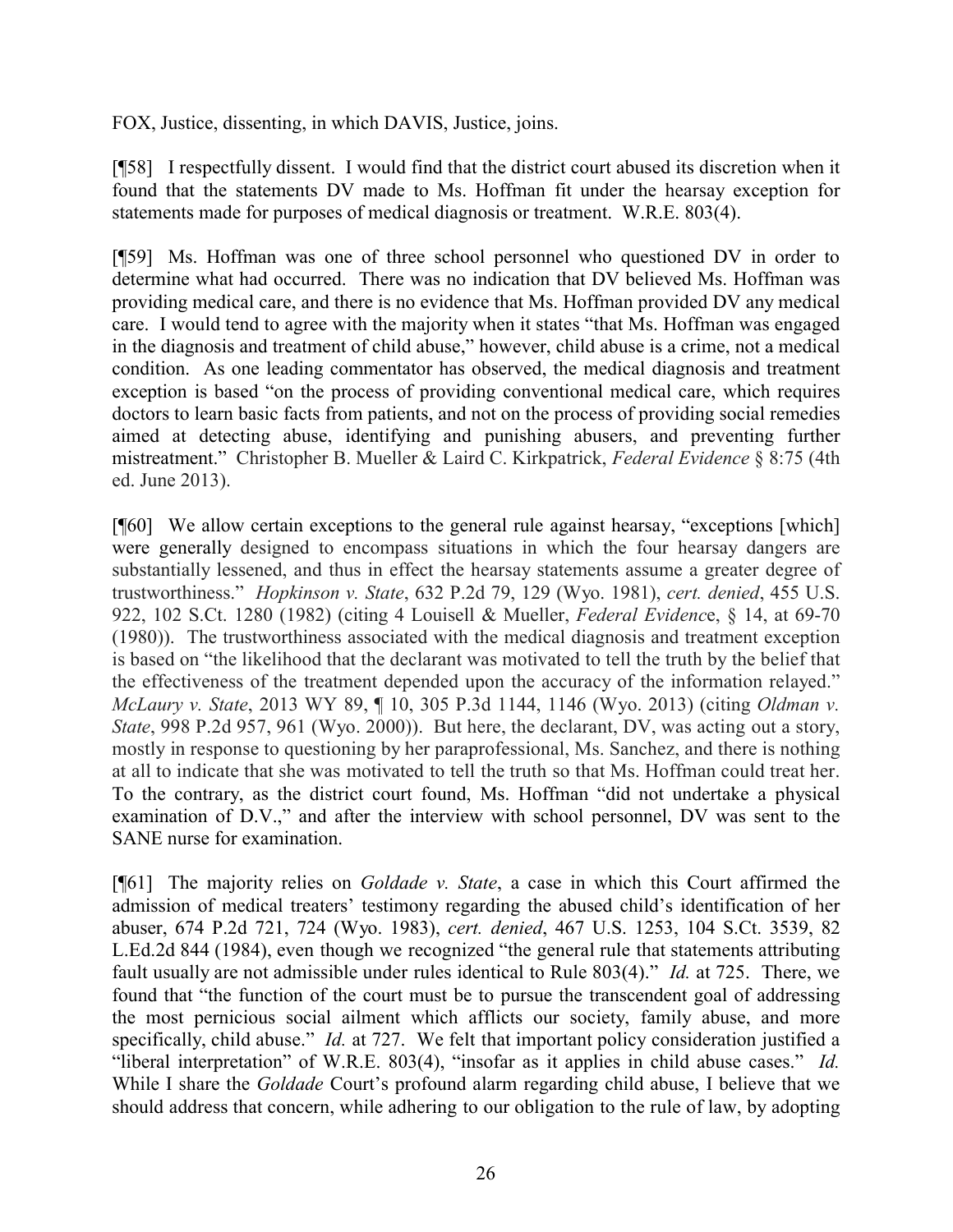FOX, Justice, dissenting, in which DAVIS, Justice, joins.

[¶58] I respectfully dissent. I would find that the district court abused its discretion when it found that the statements DV made to Ms. Hoffman fit under the hearsay exception for statements made for purposes of medical diagnosis or treatment. W.R.E. 803(4).

[¶59] Ms. Hoffman was one of three school personnel who questioned DV in order to determine what had occurred. There was no indication that DV believed Ms. Hoffman was providing medical care, and there is no evidence that Ms. Hoffman provided DV any medical care. I would tend to agree with the majority when it states "that Ms. Hoffman was engaged in the diagnosis and treatment of child abuse," however, child abuse is a crime, not a medical condition. As one leading commentator has observed, the medical diagnosis and treatment exception is based "on the process of providing conventional medical care, which requires doctors to learn basic facts from patients, and not on the process of providing social remedies aimed at detecting abuse, identifying and punishing abusers, and preventing further mistreatment." Christopher B. Mueller & Laird C. Kirkpatrick, *Federal Evidence* § 8:75 (4th ed. June 2013).

[¶60] We allow certain exceptions to the general rule against hearsay, "exceptions [which] were generally designed to encompass situations in which the four hearsay dangers are substantially lessened, and thus in effect the hearsay statements assume a greater degree of trustworthiness." *Hopkinson v. State*, 632 P.2d 79, 129 (Wyo. 1981), *cert. denied*, 455 U.S. 922, 102 S.Ct. 1280 (1982) (citing 4 Louisell & Mueller, *Federal Evidenc*e, § 14, at 69-70 (1980)). The trustworthiness associated with the medical diagnosis and treatment exception is based on "the likelihood that the declarant was motivated to tell the truth by the belief that the effectiveness of the treatment depended upon the accuracy of the information relayed." *McLaury v. State*, 2013 WY 89, ¶ 10, 305 P.3d 1144, 1146 (Wyo. 2013) (citing *Oldman v. State*, 998 P.2d 957, 961 (Wyo. 2000)). But here, the declarant, DV, was acting out a story, mostly in response to questioning by her paraprofessional, Ms. Sanchez, and there is nothing at all to indicate that she was motivated to tell the truth so that Ms. Hoffman could treat her. To the contrary, as the district court found, Ms. Hoffman "did not undertake a physical examination of D.V.," and after the interview with school personnel, DV was sent to the SANE nurse for examination.

[¶61] The majority relies on *Goldade v. State*, a case in which this Court affirmed the admission of medical treaters' testimony regarding the abused child's identification of her abuser, 674 P.2d 721, 724 (Wyo. 1983), *cert. denied*, 467 U.S. 1253, 104 S.Ct. 3539, 82 L.Ed.2d 844 (1984), even though we recognized "the general rule that statements attributing fault usually are not admissible under rules identical to Rule 803(4)." *Id.* at 725. There, we found that "the function of the court must be to pursue the transcendent goal of addressing the most pernicious social ailment which afflicts our society, family abuse, and more specifically, child abuse." *Id.* at 727. We felt that important policy consideration justified a "liberal interpretation" of W.R.E. 803(4), "insofar as it applies in child abuse cases." *Id.* While I share the *Goldade* Court's profound alarm regarding child abuse, I believe that we should address that concern, while adhering to our obligation to the rule of law, by adopting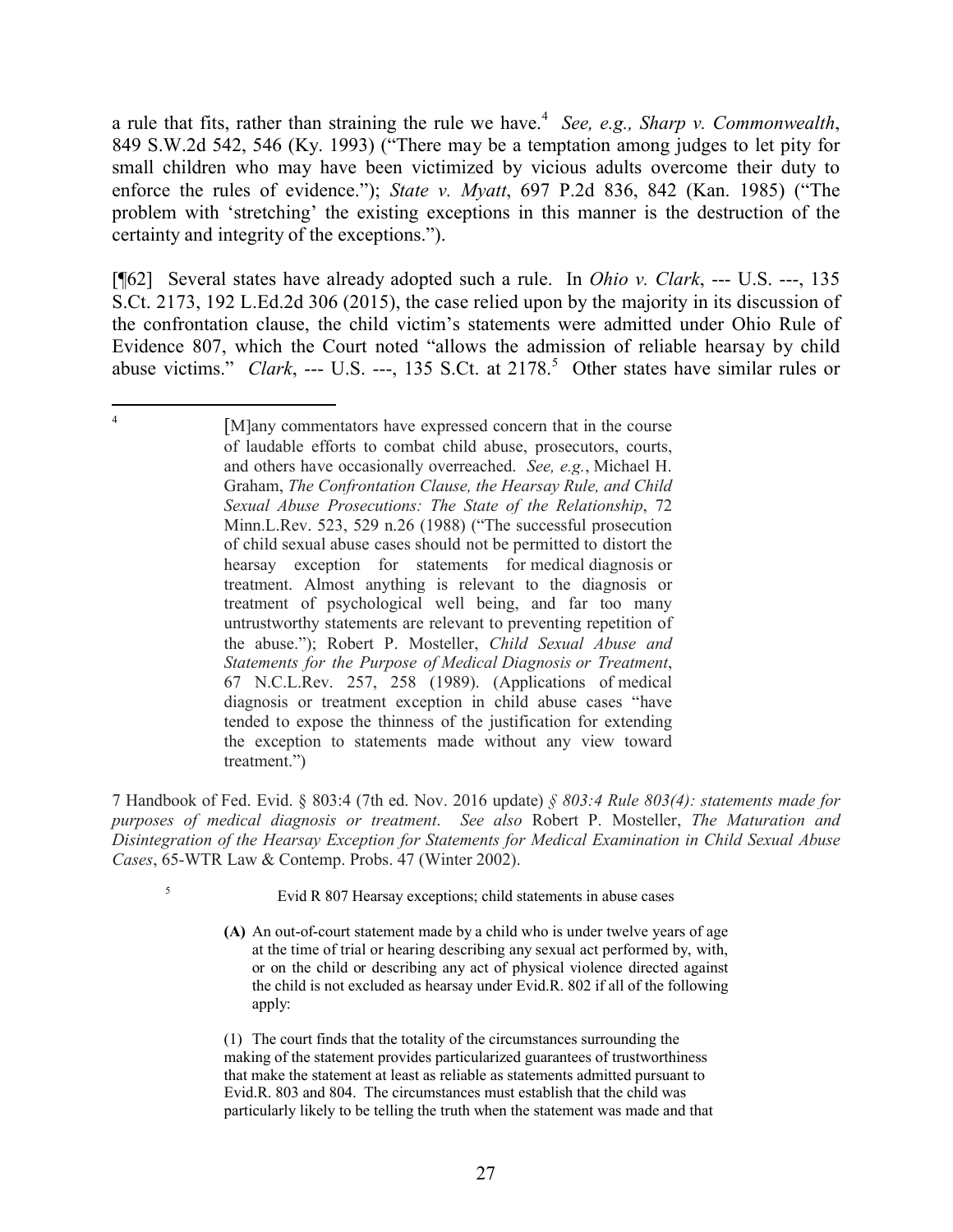a rule that fits, rather than straining the rule we have.<sup>4</sup> See, e.g., Sharp v. Commonwealth, 849 S.W.2d 542, 546 (Ky. 1993) ("There may be a temptation among judges to let pity for small children who may have been victimized by vicious adults overcome their duty to enforce the rules of evidence."); *State v. Myatt*, 697 P.2d 836, 842 (Kan. 1985) ("The problem with 'stretching' the existing exceptions in this manner is the destruction of the certainty and integrity of the exceptions.").

[¶62] Several states have already adopted such a rule. In *Ohio v. Clark*, --- U.S. ---, 135 S.Ct. 2173, 192 L.Ed.2d 306 (2015), the case relied upon by the majority in its discussion of the confrontation clause, the child victim's statements were admitted under Ohio Rule of Evidence 807, which the Court noted "allows the admission of reliable hearsay by child abuse victims." *Clark*, --- U.S. ---, 135 S.Ct. at 2178.<sup>5</sup> Other states have similar rules or

7 Handbook of Fed. Evid. § 803:4 (7th ed. Nov. 2016 update) *§ 803:4 Rule 803(4): statements made for purposes of medical diagnosis or treatment*. *See also* Robert P. Mosteller, *The Maturation and Disintegration of the Hearsay Exception for Statements for Medical Examination in Child Sexual Abuse Cases*, 65-WTR Law & Contemp. Probs. 47 (Winter 2002).

l 4

<sup>5</sup> Evid R 807 Hearsay exceptions; child statements in abuse cases

**(A)** An out-of-court statement made by a child who is under twelve years of age at the time of trial or hearing describing any sexual act performed by, with, or on the child or describing any act of physical violence directed against the child is not excluded as hearsay under Evid.R. 802 if all of the following apply:

(1) The court finds that the totality of the circumstances surrounding the making of the statement provides particularized guarantees of trustworthiness that make the statement at least as reliable as statements admitted pursuant to Evid.R. 803 and 804. The circumstances must establish that the child was particularly likely to be telling the truth when the statement was made and that

<sup>[</sup>M]any commentators have expressed concern that in the course of laudable efforts to combat child abuse, prosecutors, courts, and others have occasionally overreached. *See, e.g.*, Michael H. Graham, *The Confrontation Clause, the Hearsay Rule, and Child Sexual Abuse Prosecutions: The State of the Relationship*, 72 Minn.L.Rev. 523, 529 n.26 (1988) ("The successful prosecution of child sexual abuse cases should not be permitted to distort the hearsay exception for statements for medical diagnosis or treatment. Almost anything is relevant to the diagnosis or treatment of psychological well being, and far too many untrustworthy statements are relevant to preventing repetition of the abuse."); Robert P. Mosteller, *Child Sexual Abuse and Statements for the Purpose of Medical Diagnosis or Treatment*, 67 N.C.L.Rev. 257, 258 (1989). (Applications of medical diagnosis or treatment exception in child abuse cases "have tended to expose the thinness of the justification for extending the exception to statements made without any view toward treatment.")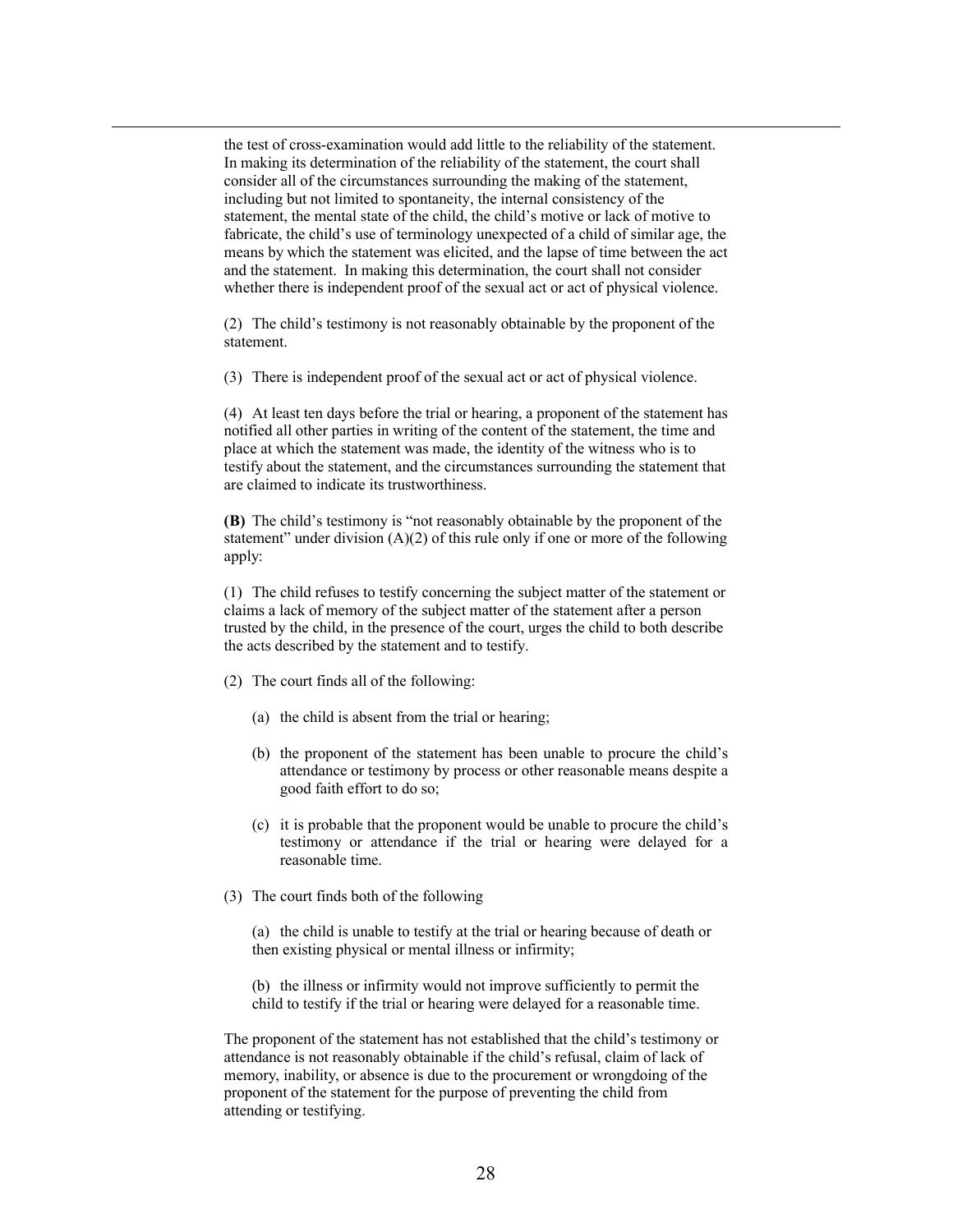the test of cross-examination would add little to the reliability of the statement. In making its determination of the reliability of the statement, the court shall consider all of the circumstances surrounding the making of the statement, including but not limited to spontaneity, the internal consistency of the statement, the mental state of the child, the child's motive or lack of motive to fabricate, the child's use of terminology unexpected of a child of similar age, the means by which the statement was elicited, and the lapse of time between the act and the statement. In making this determination, the court shall not consider whether there is independent proof of the sexual act or act of physical violence.

(2) The child's testimony is not reasonably obtainable by the proponent of the statement.

(3) There is independent proof of the sexual act or act of physical violence.

(4) At least ten days before the trial or hearing, a proponent of the statement has notified all other parties in writing of the content of the statement, the time and place at which the statement was made, the identity of the witness who is to testify about the statement, and the circumstances surrounding the statement that are claimed to indicate its trustworthiness.

**(B)** The child's testimony is "not reasonably obtainable by the proponent of the statement" under division  $(A)(2)$  of this rule only if one or more of the following apply:

(1) The child refuses to testify concerning the subject matter of the statement or claims a lack of memory of the subject matter of the statement after a person trusted by the child, in the presence of the court, urges the child to both describe the acts described by the statement and to testify.

(2) The court finds all of the following:

 $\overline{a}$ 

- (a) the child is absent from the trial or hearing;
- (b) the proponent of the statement has been unable to procure the child's attendance or testimony by process or other reasonable means despite a good faith effort to do so;
- (c) it is probable that the proponent would be unable to procure the child's testimony or attendance if the trial or hearing were delayed for a reasonable time.
- (3) The court finds both of the following

(a) the child is unable to testify at the trial or hearing because of death or then existing physical or mental illness or infirmity;

(b) the illness or infirmity would not improve sufficiently to permit the child to testify if the trial or hearing were delayed for a reasonable time.

The proponent of the statement has not established that the child's testimony or attendance is not reasonably obtainable if the child's refusal, claim of lack of memory, inability, or absence is due to the procurement or wrongdoing of the proponent of the statement for the purpose of preventing the child from attending or testifying.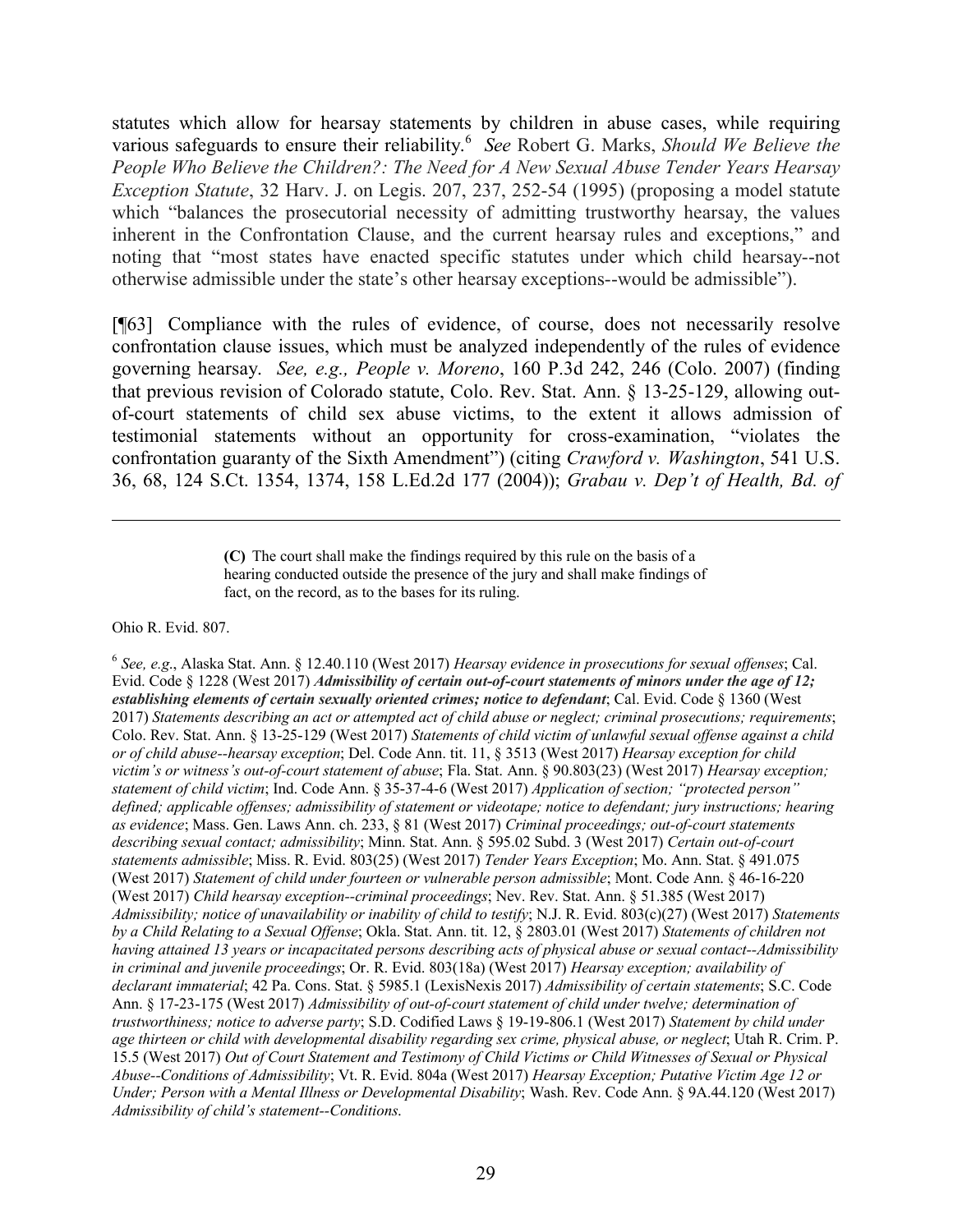statutes which allow for hearsay statements by children in abuse cases, while requiring various safeguards to ensure their reliability. 6 *See* Robert G. Marks, *Should We Believe the People Who Believe the Children?: The Need for A New Sexual Abuse Tender Years Hearsay Exception Statute*, 32 Harv. J. on Legis. 207, 237, 252-54 (1995) (proposing a model statute which "balances the prosecutorial necessity of admitting trustworthy hearsay, the values inherent in the Confrontation Clause, and the current hearsay rules and exceptions," and noting that "most states have enacted specific statutes under which child hearsay--not otherwise admissible under the state's other hearsay exceptions--would be admissible").

[¶63] Compliance with the rules of evidence, of course, does not necessarily resolve confrontation clause issues, which must be analyzed independently of the rules of evidence governing hearsay. *See, e.g., People v. Moreno*, 160 P.3d 242, 246 (Colo. 2007) (finding that previous revision of Colorado statute, Colo. Rev. Stat. Ann. § 13-25-129, allowing outof-court statements of child sex abuse victims, to the extent it allows admission of testimonial statements without an opportunity for cross-examination, "violates the confrontation guaranty of the Sixth Amendment") (citing *Crawford v. Washington*, 541 U.S. 36, 68, 124 S.Ct. 1354, 1374, 158 L.Ed.2d 177 (2004)); *Grabau v. Dep't of Health, Bd. of* 

Ohio R. Evid. 807.

l

6 *See, e.g*., Alaska Stat. Ann. § 12.40.110 (West 2017) *Hearsay evidence in prosecutions for sexual offenses*; Cal. Evid. Code § 1228 (West 2017) *Admissibility of certain out-of-court statements of minors under the age of 12; establishing elements of certain sexually oriented crimes; notice to defendant*; Cal. Evid. Code § 1360 (West 2017) *Statements describing an act or attempted act of child abuse or neglect; criminal prosecutions; requirements*; Colo. Rev. Stat. Ann. § 13-25-129 (West 2017) *Statements of child victim of unlawful sexual offense against a child or of child abuse--hearsay exception*; Del. Code Ann. tit. 11, § 3513 (West 2017) *Hearsay exception for child victim's or witness's out-of-court statement of abuse*; Fla. Stat. Ann. § 90.803(23) (West 2017) *Hearsay exception; statement of child victim*; Ind. Code Ann. § 35-37-4-6 (West 2017) *Application of section; "protected person" defined; applicable offenses; admissibility of statement or videotape; notice to defendant; jury instructions; hearing as evidence*; Mass. Gen. Laws Ann. ch. 233, § 81 (West 2017) *Criminal proceedings; out-of-court statements describing sexual contact; admissibility*; Minn. Stat. Ann. § 595.02 Subd. 3 (West 2017) *Certain out-of-court statements admissible*; Miss. R. Evid. 803(25) (West 2017) *Tender Years Exception*; Mo. Ann. Stat. § 491.075 (West 2017) *Statement of child under fourteen or vulnerable person admissible*; Mont. Code Ann. § 46-16-220 (West 2017) *Child hearsay exception--criminal proceedings*; Nev. Rev. Stat. Ann. § 51.385 (West 2017) *Admissibility; notice of unavailability or inability of child to testify*; N.J. R. Evid. 803(c)(27) (West 2017) *Statements by a Child Relating to a Sexual Offense*; Okla. Stat. Ann. tit. 12, § 2803.01 (West 2017) *Statements of children not having attained 13 years or incapacitated persons describing acts of physical abuse or sexual contact--Admissibility in criminal and juvenile proceedings*; Or. R. Evid. 803(18a) (West 2017) *Hearsay exception; availability of declarant immaterial*; 42 Pa. Cons. Stat. § 5985.1 (LexisNexis 2017) *Admissibility of certain statements*; S.C. Code Ann. § 17-23-175 (West 2017) *Admissibility of out-of-court statement of child under twelve; determination of trustworthiness; notice to adverse party*; S.D. Codified Laws § 19-19-806.1 (West 2017) *Statement by child under age thirteen or child with developmental disability regarding sex crime, physical abuse, or neglect*; Utah R. Crim. P. 15.5 (West 2017) *Out of Court Statement and Testimony of Child Victims or Child Witnesses of Sexual or Physical Abuse--Conditions of Admissibility*; Vt. R. Evid. 804a (West 2017) *Hearsay Exception; Putative Victim Age 12 or Under; Person with a Mental Illness or Developmental Disability*; Wash. Rev. Code Ann. § 9A.44.120 (West 2017) *Admissibility of child's statement--Conditions*.

**<sup>(</sup>C)** The court shall make the findings required by this rule on the basis of a hearing conducted outside the presence of the jury and shall make findings of fact, on the record, as to the bases for its ruling.